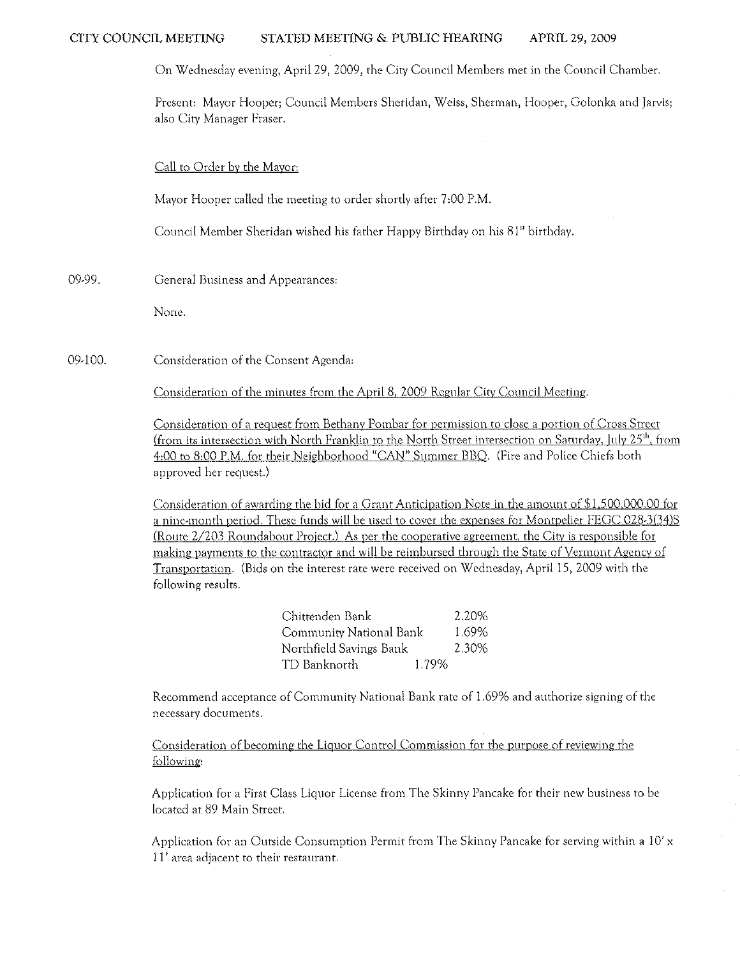On Wednesday evening, April 29, 2009, the City Council Members met in the Council Chamber.

**Present: Mayor Hooper; Council Members Sheridan) Weiss) Sherman, Hooper) Golonka and Jarvis; also City Manager Fraser.** 

## Call to Order by the Mayor:

Mayor Hooper called the meeting to order shortly after 7 :00 P.M.

Council Member Sheridan wished his father Happy Birthday on his 81" birthday.

09·99. **General Business and Appearances:** 

None.

09·100. **Consideration of the Consent Agenda:** 

Consideration of the minutes from the April 8, 2009 Regular City Council Meeting.

**Consideration of a request from Bethany Pombar for permission to close a portion of Cross Street"**  (from its intersection with North Franklin to the North Street intersection on Saturday, July 25<sup>th</sup>, from 4:00 to 8:00 P.M. for their Neighborhood "CAN" Summer BBO. (Fire and Police Chiefs both **approved her request.)** 

Consideration of awarding the bid for a Grant Anticipation Note in the amount of \$1 ,500,000.00 {or a nine·month period. These funds will be used to cover the expenses for Montpelier FEGC 028·3(34)S **(Route 2/203 Roundabout Project.) As per the cooperative agreement. the City is responsible for making payments to the contractor and will be reimbursed through the State** of Vermont **Agency of**  Transportation. (Bids on the interest rate were received on Wednesday, April 15, 2009 with the following results.

| Chittenden Bank         |       | 2.20% |
|-------------------------|-------|-------|
| Community National Bank |       | 1.69% |
| Northfield Savings Bank |       | 2.30% |
| TD Banknorth            | 1.79% |       |

**Recommend acceptance of Community National Bank rate of 1.69% and authorize signing of the necessary documents.** 

Consideration of becoming the Liquor Control Commission for the purpose of reviewing the following:

Application for a First Class Liquor License from The Skinny Pancake for their new business to be located at 89 Main Street.

Application for an Outside Consumption Permit from The Skinny Pancake for serving within a 10' x 1 **r area adjacent to their restaurant.**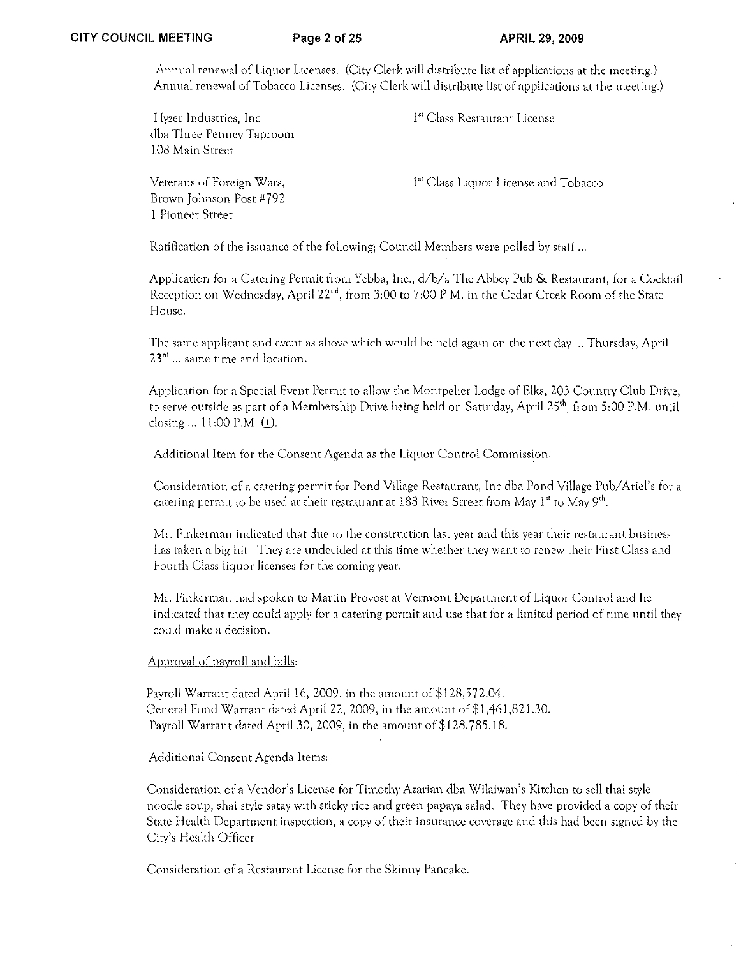Annual renewal of Liquor Licenses. (City Clerk will distribute list of applications at the meeting.) Annual renewal of Tobacco Licenses. (City Clerk will distribute list of applications at the meeting.)

| Hyzer Industries, Inc.<br>dba Three Penney Taproom<br>108 Main Street    | 1 <sup>st</sup> Class Restaurant License         |
|--------------------------------------------------------------------------|--------------------------------------------------|
| Veterans of Foreign Wars,<br>Brown Johnson Post #792<br>1 Pioneer Street | 1 <sup>st</sup> Class Liquor License and Tobacco |

Ratification of the issuance of the following; Council Members were polled by staff ...

Application for a Catering Permit from Yebba, Inc.,  $d/b/a$  The Abbey Pub & Restaurant, for a Cocktail Reception on Wednesday, April 22<sup>nd</sup>, from 3:00 to 7:00 P.M. in the Cedar Creek Room of the State House.

The same applicant and event as above which would be held again on the next day .. Thursday, April 23<sup>rd</sup> ... same time and location.

Application for a Special Event Permit to allow the Montpelier Lodge of Elks, 203 Country Club Drive, to serve outside as part of a Membership Drive being held on Saturday, April 25<sup>th</sup>, from 5:00 P.M. until closing ...  $11:00 \text{ P.M. } (+)$ .

Additional Item for the Consent Agenda as the Liquor Control Commission.

Consideration of a catering permit for Pond Village Restaurant, Inc dba Pond Village Pub/Ariel's for a catering permit to be used at their restaurant at  $188$  River Street from May  $1<sup>st</sup>$  to May  $9<sup>th</sup>$ .

Mr. Finkerman indicated that due to the construction last year and this year their restaurant business has taken a big hit. They are undecided at this time whether they want to renew their First Class and Fourth Class liquor licenses for the coming year.

Mr. Finkerman had spoken to Martin Provost at Vermont Department of Liquor Control and he indicated that they could apply for a catering permit and use that for a limited period of time until they could make a decision.

# Approval of payroll and bills:

Payroll Warrant dated April 16, 2009, in the amount of \$128,572.04. General Fund Warrant dated April 22, 2009, in the amount of \$1,461,821.30. Payroll Warrant dated April 30, 2009, in the amount of \$128,785.18.

Additional Consent Agenda Items:

Consideration of a Vendor's License for Timothy Azarian dba Wilaiwan's Kitchen to sell thai style noodle soup, shai style satay with sticky rice and green papaya salad. They have provided a copy of their State Health Department inspection, a copy of their insurance coverage and this had been signed by the City's Health Officer.

Consideration of a Restaurant License (or the Skinny Pancake.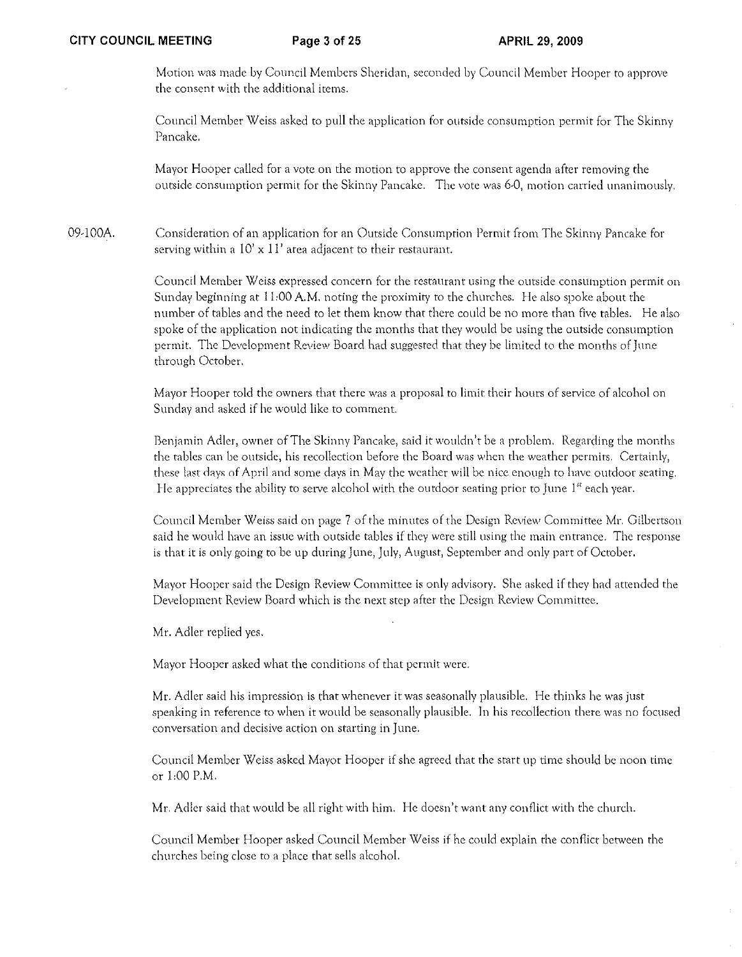Motion was made by Council Members Sheridan, seconded by Council Member Hooper to approve the consent with the additional items.

Council Member Weiss asked to pull the application for outside consumption permit for The Skinny Pancake.

Mayor Hooper called for a vote on the motion to approve the consent agenda after removing the outside consumption permit for the Skinny Pancake. The vote was 6-0, motion carried unanimously.

09-100A. Consideration of an application for an Outside Consumption Permit horn The Skinny Pancake for serving within a  $10' \times 11'$  area adjacent to their restaurant.

> Council Member Weiss expressed concern for the restaurant using the outside consumption permit on Sunday beginning at 11:00 A.M. noting the proximity to the churches. He also spoke about the number of tables and the need to let them know that there could be no more than five tables. He also spoke of the application not indicating the months that they would be using the outside consumption permit. The Development Review Board had suggested that they be limited to the months of June through October.

Mayor Hooper told the owners that there was a proposal to limit their hours of service of alcohol on Sunday and asked if he would like to comment.

Benjamin Adler, owner of The Skinny Pancake, said it wouldn't be a problem. Regarding the months the tables can be outside, his recollection before the Board was when the weather permits. Certainly, these last days of April and some days in May the weather will be nice enough to have outdoor seating. He appreciates the ability to serve alcohol with the outdoor seating prior to June  $1^{\text{st}}$  each year.

Council Member Weiss said on page 7 of the minutes of the Design Review Committee Mr. Gilbertson said he would have an issue with outside tables if they were still using the main entrance. The response is that it is only going to be up during June, July, August, September and only part of October.

Mayor Hooper said the Design Review Committee is only advisory. She asked if they had attended the Developrnent Review Board which is the next step after the Design Review Committee.

Mr. Adler replied yes.

Mayor Hooper asked what the conditions of that permit were.

Mr. Adler said his impression is that whenever it was seasonally plausible. He thinks he was just speaking in reference to when it would be seasonally plausible. In his recollection there was no focused conversation and decisive action on starting in June.

Council Member Weiss asked Mayor Hooper if she agreed that the start up time should be noon time or 1:00 P.M.

Mr. Adler said that would be all right with him. He doesn't want any conflict with the church.

Council Member Hooper asked Council Member Weiss if he could explain the conflict between the churches being close to a place that sells alcohol.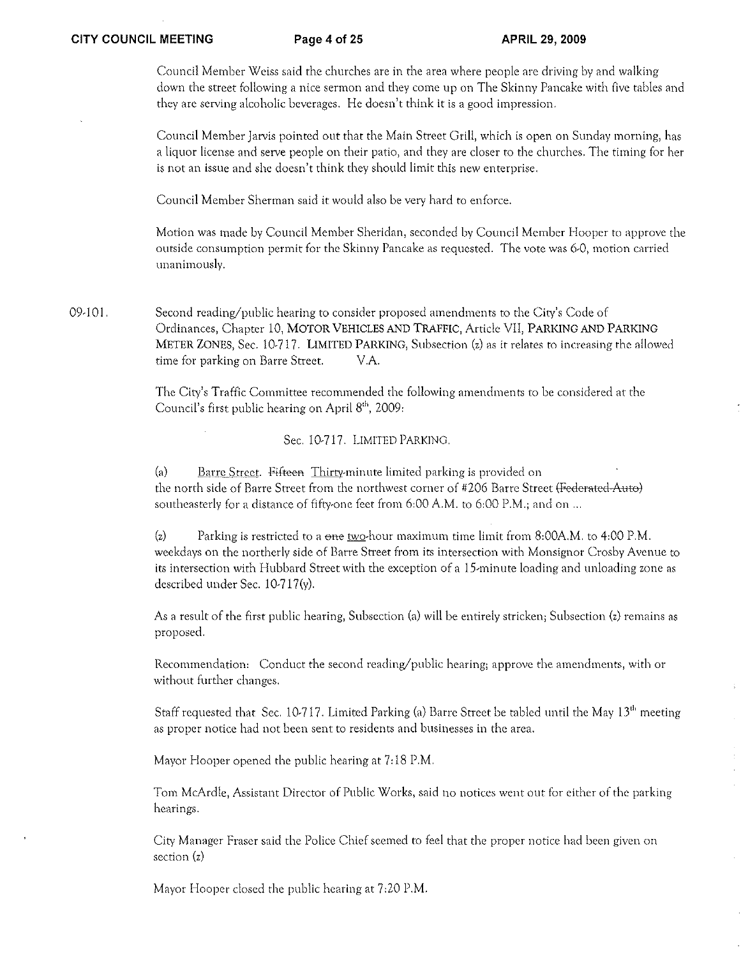Council Member Weiss said the churches are in the area where people are driving by and walking **down the street following a nice sermon and they come up on The Skinny Pancake with five tables and they are serving alcoholic beverages. He doesn't think it is a good impression.** 

**Council Member Jarvis pointed out that the Main Street Grill, which is open on Sunday morning, has a liquor license and serve people on their patio, and they are closer to the churches, The timing for her is not an issue and she doesn't think they should limit this new enterprise.** 

Council Member Sherman said it would also be very hard to enforce.

Motion was made by Council Member Sheridan, seconded by Council Member Hooper to approve the outside consumption permit for the Skinny Pancake as requested. The vote was 6-0, motion carried unanimously.

09·101. Second reading/public hearing to consider proposed amendments to the City's Code of Ordinances, Chapter 10, MOTOR VEHICLES AND TRAFFIC, Article VII, PARKING AND PARKING METER ZONES, Sec. 10·717. LIMITED PARKING, Subsection (z) as it relates to increasing the allowed time for parking on Barre Street. V.A.

> The City's Traffic Committee recommended the following amendments to be considered at the Council's first public hearing on April 8<sup>th</sup>, 2009:

> > Sec. 10·717. LIMITED PARKING.

(a) Barre Street. Fifteen Thirty-minute limited parking is provided on the north side of Barre Street from the northwest corner of #206 Barre Street (Federated Auto) southeasterly for a distance of fifty-one feet from  $6:00 \text{ A.M.}$  to  $6:00 \text{ P.M.}$ ; and on ...

 $(z)$  Parking is restricted to a one two-hour maximum time limit from 8:00A.M. to 4:00 P.M. **weekdays on the northerly side of Barre Street from its intersection with Monsignor Crosby Avenue to its intersection with Hubbard Street with the exception of a** 15~minute **loading and unloading zone as**  described under Sec. 10·717(y).

As a result of the first public hearing, Subsection (a) will be entirely stricken; Subsection (z) remains as proposed.

**Recornmendation: Conduct the second reading/public hearing; approve the amendments, with or without further changes.** 

Staff requested that Sec. 10·717. Limited Parking (a) Barre Street be tabled until the May 13'" meeting **as proper notice had not been sent to residents and businesses in the area.** 

Mayor Hooper opened the public hearing at 7:18 P.M.

**Tom McArdle, Assistant Director of Public Works, said no notices went out for either of the parking hearings.** 

City Manager Fraser said the Police Chief seemed to feel that the proper notice had been given on section (z)

Mayor Hooper closed the public hearing at 7:20 P.M.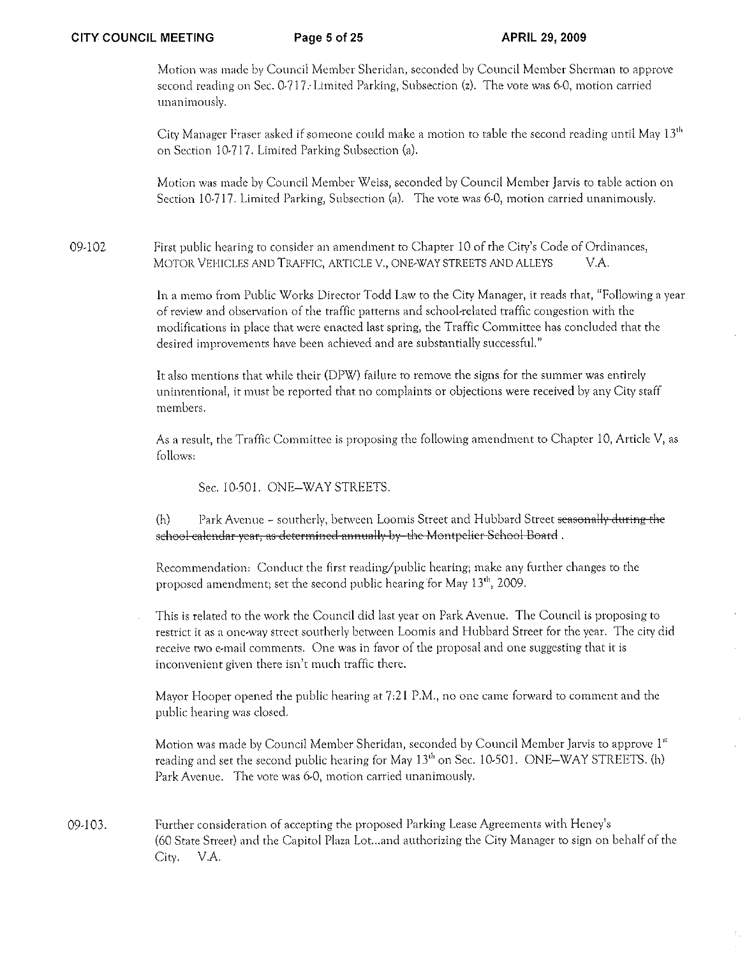Motion was made by Council Member Sheridan, seconded by Council Member Sherman to approve second reading on Sec.  $0.217$ . Limited Parking, Subsection (z). The vote was 6-0, motion carried unanimously.

City Manager Fraser asked if someone could make a motion to table the second reading until May  $13<sup>th</sup>$ on Section 10-717. Limited Parking Subsection (a).

Motion was made by Council Member Weiss, seconded by Council Member Jatvis to table action on Section 10-717. Limited Parking, Subsection (a). The vote was 6-0, motion carried unanimously.

09-102 First public hearing to consider an amendment to Chapter 10 of the City's Code of Ordinances, MOTOR VEHICLES AND TRAFFIC, ARTICLE V., ONE-WAY STREETS AND ALLEYS V.A.

> In a memo from Public Works Director Todd Law to the City Manager, it reads that, "Following a year of review and observation of the traffic patterns and school-related traffic congestion with the modifications in place that were enacted last spring, the Traffic Committee has concluded that the desired improvements have been achieved and are substantially successful."

It also mentions that while their (DPW) failure to remove the signs for the summer was entirely unintentional, it must be reported that no complaints or objections were received by any City staff members,

As a result, the Traffic Committee is proposing the following amendment to Chapter 10, Article V, as follows:

Sec. 10-501. ONE-WAY STREETS.

 $(h)$  Park Avenue - southerly, between Loomis Street and Hubbard Street seasonally during the school-calendar year, as determined annually by the Montpelier School Board.

Recommendation: Conduct the first reading/public hearing; make any further changes to the proposed amendment; set the second public hearing for May 13<sup>th</sup>, 2009.

This is related to the work the Council did last year on Park Avenue. The Council is proposing to restrict it as a one-way street southerly between Loomis and Hubbard Street for the year. The city did receive two e-mail comments. One was in favor of the proposal and one suggesting that it is inconvenient given there isn't much traffic there,

Mayor Hooper opened the public hearing at  $7:21$  P.M., no one came forward to comment and the public hearing was closed.

Motion was made by Council Member Sheridan, seconded by Council Member Jarvis to approve 1st reading and set the second public hearing for May 13<sup>th</sup> on Sec. 10-501. ONE-WAY STREETS. (h) Park Avenue. The vote was 6-0, motion carried unanimously.

09-103. Further consideration of accepting the proposed Parking Lease Agreements with Heney's (60 State Street) and the Capitol Plaza Lot...and authorizing the City Manager to sign on behalf of the City. V.A.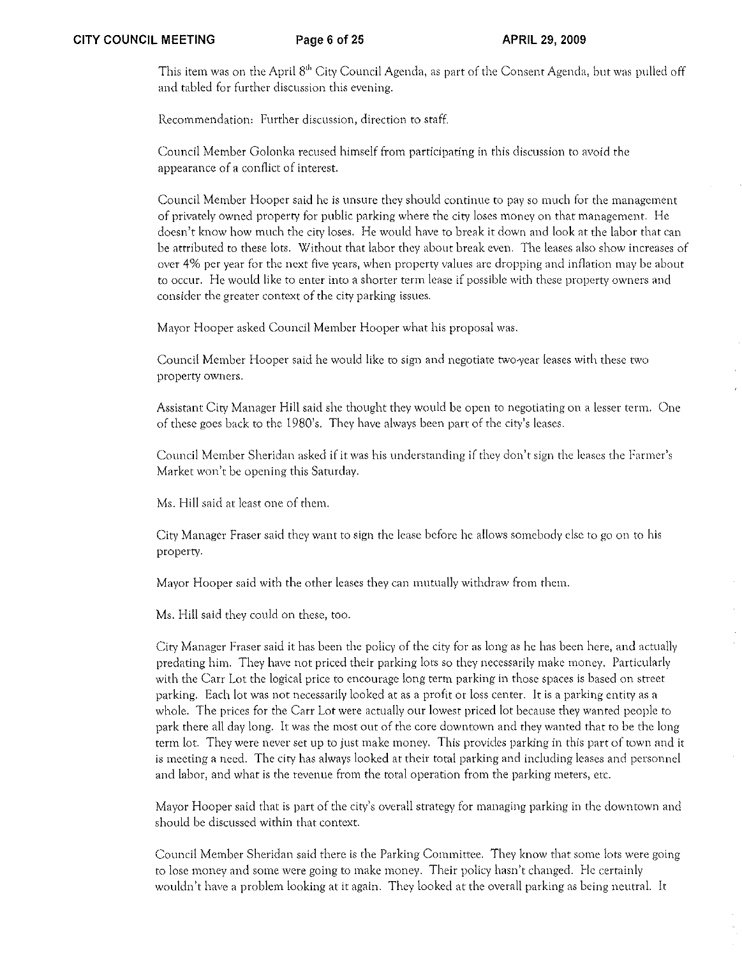This item was on the April 8<sup>th</sup> City Council Agenda, as part of the Consent Agenda, but was pulled off and tabled for further discussion this evening.

Recommendation: Further discussion, direction to staff

Council Member Golonka recused himself from participating in this discussion to avoid the appearance of a conflict of interest,

Council Member Hooper said he is unsure they should continue to pay so much for the management of privately owned property for public parking where the city loses money on that management. He doesn't know how much the city loses. He would have to break it down and look at the labor that can be attributed to these lots. Without that labor they about break even. The leases also show increases of over 4% per year for the next five years, when property values arc dropping and inflation may be about to occur. He would like to enter into a shorter term lease if possible with these property owners and consider the greater context of the city parking issues.

Mayor Hooper asked Council Member Hooper what his proposal was.

Council Member Hooper said he would like to sign and negotiate two-vear leases with these two. property owners.

Assistant City Manager Hill said she thought they would be open to negotiating on a lesser term. One of these goes back to the 1980's. They have always been part of the city's leases.

Council Member Sheridan asked if it was his understanding if they don't sign the leases the Fanner's Market won't be opening this Saturday.

Ms. Hill said at least one of them.

City Manager Fraser said they want to sign the lease before he allows somebody else to go on to his property.

Mayor Hooper said with the other leases they can mutually withdraw from them.

Ms. Hill said they could on these, too.

City Manager Fraser said it bas been the policy of the city for as long as he has been here, and acrually predating him. They have not priced their parking lots so they necessarily make money. Particularly with the Carr Lot the logical price to encourage long term parking in those spaces is based on street parking, Each lot was not necessarily looked at as a profit or loss center. It is a parking entity as a whole. The prices for the Carr Lot were actually our lowest priced lot because they wanted people to park there all day long. It was tbe most out of the core downtown and they wanted that to be the long term lot. They were never set up to just make money. This provides parking in this part of town and it is meeting a need. The city has always looked at their total parking and including leases and personnel and labor, and what is the tevenue from the total operation from the parking meters, etc.

Mayor Hooper said that is part of the city's overall strategy for managing parking in the downtown and sbould be discussed within that context.

Council Member Sheridan said there is the Parking Committee. They know that some lots were going to lose money and some were going to make money. Their policy hasn't changed. He certainly wouldn't have a problem looking at it again. They looked at the overall parking as being neutral. It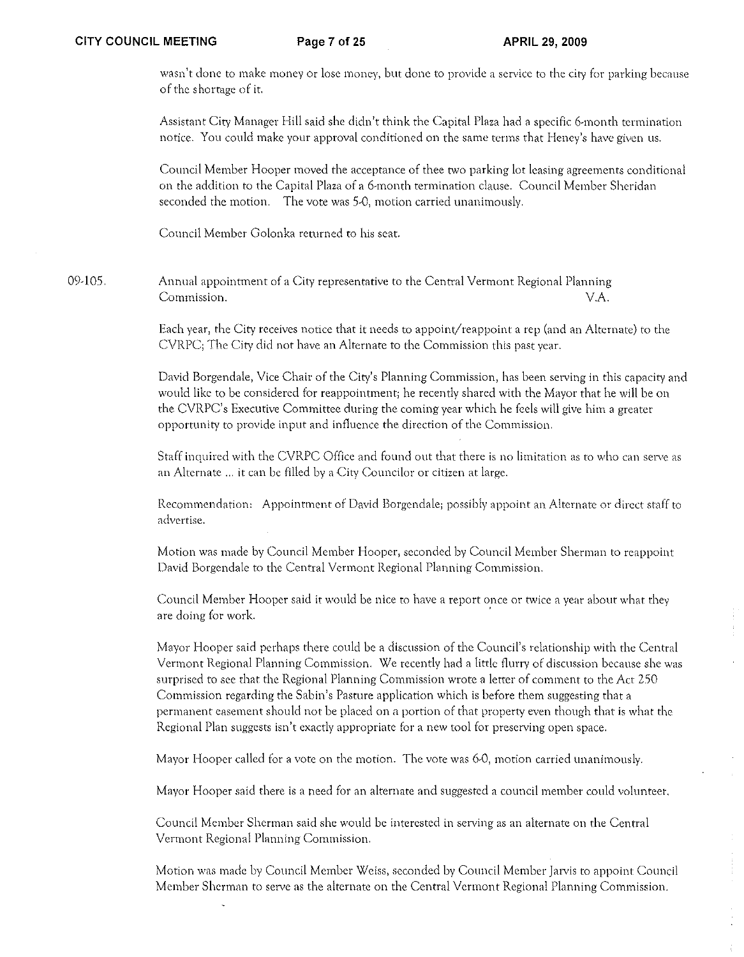wasn't done to make money or lose money, but done to provide a service to the city for parking because of the shortage of it.

Assistant City Manager Hill said she didn't think the Capital Plaza had a specific 6-month termination notice. You could make your approval conditioned on the same terms that Heney's have given us.

Council Member Hooper moved the acceptance of thee two parking lot leasing agreements conditional on the addition to the Capital Plaza of a 6-month termination clause. Council Member Sheridan seconded the motion. The vote was 5-0, motion carried unanimously.

Conncil Member Golonka returned to his seat.

09-105. Annual appointment of a City representative to the Central Vermont Regional Planning Commission. V.A.

> Each year, the City receives notice that it needs to appoint/reappoint a rep (and an Alternate) to the CVRPC; The City did not have an Alternate to the Commission this past year.

David Borgendale, Vice Chair of the City's Planning Commission, has been serving in this capacity and would like to be considered for reappointment; he recently shared with the Mayor that he will be on the CVRPC's Executive Committee during the coming year which he feels will give him a greater opportunity to provide input and influence the direction of the Commission.

Staff inquired with the CVRPC Office and found out that there is no limitation as to who can serve as an Alternate ... it can be filled by a City Councilor or citizen at large.

Recommendation: Appointment of David Borgendale; possibly appoint an Alternate or direct staff to advertise,

Motion was made by Council Member Hooper, seconded by Council Member Sherman to reappoint David Borgendale to the Central Vermont Regional Planning Commission.

Council Mernber Hooper said it would be nice to have a report once or twice a year about what they are doing for work.

Mayor Hooper said perhaps there could be a discussion of the Council's relationship with the Central Vermont Regional Planning Commission, We recently had a little flurry of discussion because she was surprised to see that the Regional Planning Cornmission wrote a letter of comment to the Act 250 Commission regarding the Sabin's Pasture application which is before them suggesting that a permanent easement should not be placed on a portion of that property even though that is what the Regional Plan suggests isn't cxactly appropriatc for a new tool for preserving open space.

Mayor Hooper called for a vote on the motion. The vote was 6-0, motion carried unanimously.

Mayor Hooper said there is a need for an alternate and suggested a council member could volunteer.

Council Member Sherman said she would be interested in serving as an alternate on the Central Vermont Regional Planning Commission.

Motion was made by Council Member Weiss, seconded by Council Member Jarvis to appoint Council Member Sherman to serve as the alternate on the Central Vermont Regional Planning Commission.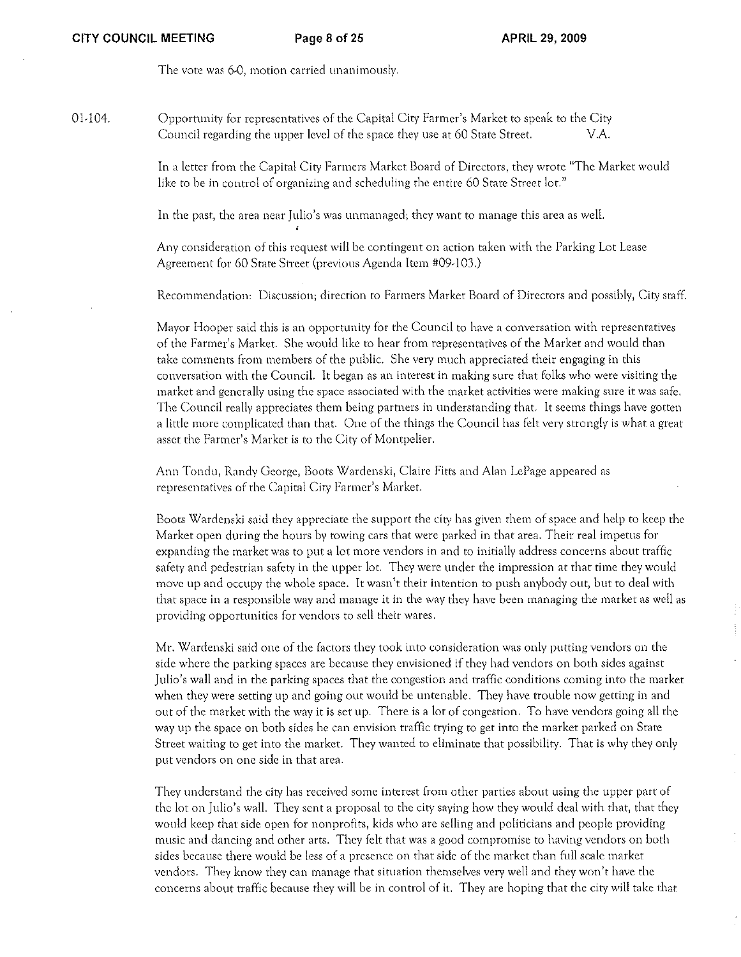The vote was 6,0, motion carried unanimously.

01,104.

Opportunity for representatives of the Capital City Farmer's Market to speak to the City Council regarding the upper level of the space they use at 60 State Street. V.A.

In a letter from the Capital City Farmers Market Board of Directors, they wrote "The Market would like to be in control of organizing and scheduling the entire 60 State Street lot."

In the past, the area near Julio's was unmanaged; they want to manage this area as well.

Any consideration of this request will be contingent on action taken with the Parking Lot Lease Agreement for 60 State Street (previous Agenda Item #09,103.)

Recommendation: Discussion; direction to Farmers Market Board of Directors and possibly, City staff.

Mayor Hooper said this is an opportunity for the Council to have a conversation with representatives of the Farmer's Market. She would like to hear from representatives of the Market and would than take comments from members of the public. She very much appreciated their engaging in this conversation with the Council. It began as an interest in making sure that folks who were visiting the market and generally using the space associated with the market activities were making sure it was safe. The Council really appreciates them being partners in understanding that. It seems things have gotten a little more complicated than that. One of the things the Council has felt very strongly is what a great asset the Fanner's Market is to the City of Montpelier.

Ann Tondu, Randy George, Boots Wardenski, Claire Fitts and Alan LePage appeared as representatives of the Capital City Fanner's Market.

Boots Wardenski said they appreciate the support the city has given them of space and help to keep the Market open during the hours by towing cars that were parked in that area. Their real impetus for expanding the market was to put a lot more vendors in and to initially address concerns about traffic safety and pedestrian safety in the upper lot. They were under the impression at that time they would move up and occupy the whole space. It wasn't their intention to push anybody Ollt, but to deal with that space in a responsible way and manage it in the way they have been managing the market as well as providing opportunities for vendors to sell their wares.

Mr. Wardenski said one of the factors they took into consideration was only putting vendors on the side where the parking spaces are because they envisioned if they had vendors on both sides against Julio 's wall and in the parking spaces that the congestion and traffic conditions coming into the market when they were setting up and going out would be untenable. They have trouble now getting in and out of the market with the way it is set up. There is a lot of congestion. To have vendors going all the way up the space on both sides he can envision traffic trying to get into the market parked on State Street waiting to get into the market. They wanted to eliminate that possibility. That is why they only put vendors on one side in that area.

They understand the city has received some interest from other parties about using the upper part of the lot on Julio's wall. They sent a proposal to the city saying how they would deal with that, that they would keep that side open for nonprofits, kids who are selling and politicians and people providing music and dancing and other arts. They felt that was a good compromise to having vendors on both sides because there would be less of a presence on that side of the market than full scale market vendors. They know they can manage that situation thernselves very well and they won 't have the concerns about ttaffic because they will be in control of it. They are hoping that the city will take that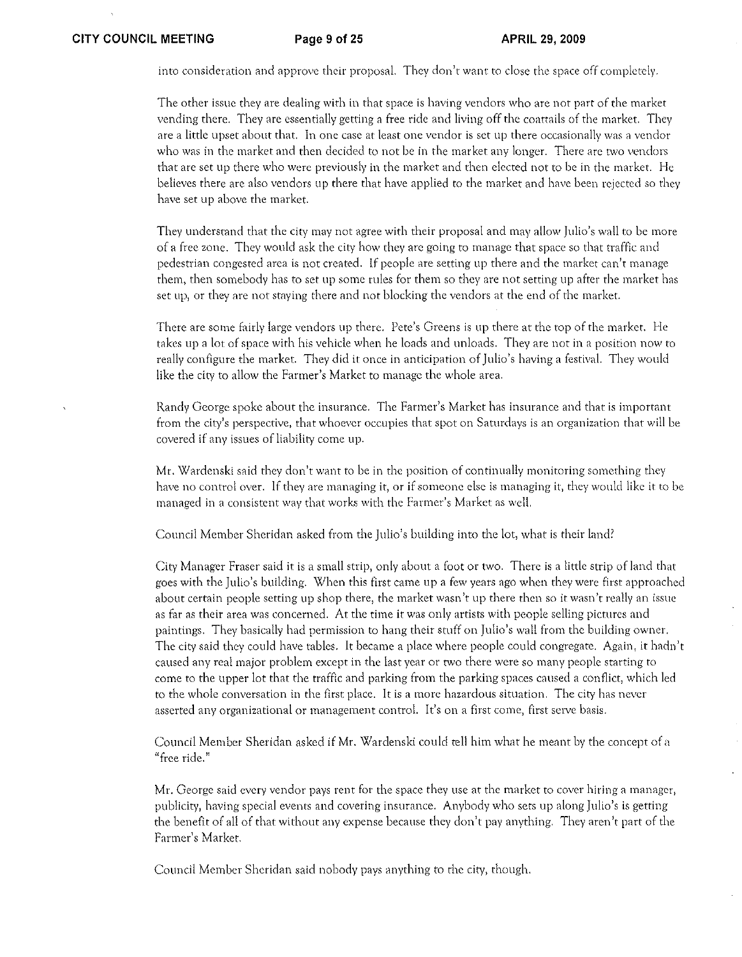into consideration and approve fhcir proposal. They don't want to close the space off completely.

The other issue they are dealing with in that space is having vendors who are not part of the market vending there. They are essentially getting a free ride and living off the coattails of the market. They are a little upset about that. In one case at least one vendor is set up there occasionally was a vendor who was in the market and then decided to not be in the market any longer. There arc two vendors that are set up there who were previously in the market and then elected not to be in the market. He believes there are also vendors up there that have applied to the market and have been rejected so they have set up above the market.

They undersrand that the City may not agree with their proposal and may allow Julio's wall to be more of a free zone. They would ask the city how they arc going to manage that space so that traffic and pedestrian congested arca is not created. If people are setting up there and the market can't manage them, then somebody has to set up some rules for them so they are not setting up after the market has set up, or they are not staying there and not blocking the vendors at the end of the market.

There are some fairly large vendors up there. Pete's Greens is up there at the top of the market. He takes up a lot of space with his vehicle when he loads and unloads. They are not in a position now to really configure the market. They did it once in anticipation of Julio's having a festival. They would like the city to allow the Farmer's Market to manage the whole area.

Randy George spoke about the insurance. The Farmer's Market has insurance and that is important from the city's perspective, that whoever occupies that spot on Saturdays is an organization that will be covered if any issues of liability come up.

Mr. Wardenski said they don't want to be in the position of continually monitoring something they have no control over. If they are managing it, or if someone else is managing it, they would like it to be managed in a consistent way that works with the Farmer's Market as well.

Council Member Sheridan asked from the Julio's building into the lot, what is their land?

City Manager Fraser said it is a small strip, only about a foot or two. There is a little strip of land that goes with the Julio's building. When this first came up a few years ago when they were first approached about certain people setting up shop there, the market wasn't up there then so it wasn't really an issue as far as their area was concerned. At the time it was only artists with people selling pictures and paintings. They basically had permission to hang their stuff on Julio's wall from the building owner. The city said they could have tables. It became a place where people could congregate. Again, it hadn't caused any real major problem except in the last year or two there were so many people starting to come to the upper lot that the traffic and parking from the parking spaces caused a conflict, which led to the whole conversation in the first place. It is a more hazardous situation. The city has never asserted any organizational or management control. It's on a first come, first serve basis.

Council Member Sheridan asked if Mr. Wardenski could tell him what he meant by the concept of a "free ride."

Mr. George said every vendor pays rent for the space they use at the market to cover hiring a manager, publicity, having special events and covering insurance. Anybody who sets up along Julio's is getting the benefit of all of that without any expense because they don't pay anything. They aren't part of the Fanner's Market.

Council Member Sheridan said nobody pays anything to the city, though.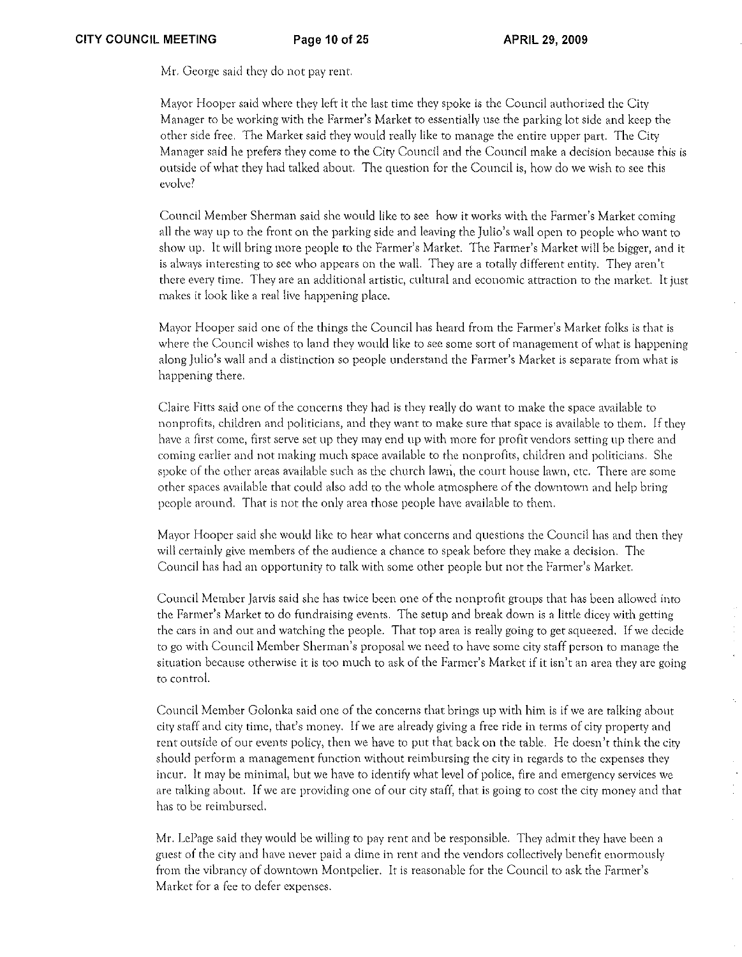Mr. George said they do not pay rent.

Mayor Hooper said where they left it the last time they spoke is the Council authorized the City Manager to be working with the Farmer's Market to essentially use the parking lot side and keep the other side free. The Market said they would really like to manage the entire upper part. The City Manager said he prefers they come to the City Council and the Council make a decision because this is outside of what they had talked about. The question for the Council is, how do we wish to *see* this evolve?

Council Member Sherman said she would like to see how it works with the Farmer's Market coming all the way up to the front on the parking side and leaving the Julio's wall open to people who want to show up. It will bring more people to the Farmer's Market. The Farmer's Market will be bigger, and it is always interesting to see who appears on the wall. They are a totally different entity. They aren't there every time. They are an additional artistic, cultural and economic attraction to the market. It just makes it look like a real live happening place.

Mayor Hooper said one of the things the Council has heard from the Farmer's Market folks is that is where the Council wishes to land they would like to see some sort of management of what is happening along Julio's wall and a distinction so people understand the Farmer's Market is separate from what is happening there.

Claire Fitts said one of the concerns they had is they really do want to make the space available to nonprofits, children and politicians, and they want to make sure that space is available to them. If they have a first come, first serve sct up they may end up with morc for profit vendors setting up there and coming earlier and not making much space available to the nonprofits, children and politicians. She spoke of the other areas available such as the church lawn, the court house lawn, etc. There are some other spaces available that could also add to the whole atmosphere of the downtown and help bring people around. That is not the only area those people have available to them.

Mayor Hooper said she would like to hear what concerns and questions the Council has and then they will certainly give members of the audience a chance to speak before they make a decision. The Council has had an opportunity to talk with some other people but not the Farmer's Market.

Council Member Jarvis said she has twice been one of the nonprofit groups that has been allowed into the Farmer's Market to do fundraising events. The setup and break down is a little dicey with getting the cars in and out and watching the people. That top area is really going to get squeezed. If we decide to go with Council Member Sherman's proposal we need to have some city staff person to manage the situation because otherwise it is too much to ask of the Farmer's Market if it isn't an area they are going to control.

Council Membcr Golonka said one of the concerns that brings up with him is if we arc talking about city staff and city time, that's money. If we are already giving a free ride in terms of city property and rent outside of our events policy, then we have to put that back on the table. He doesn't think the city should perform a management function without reimbursing the city in regards to the expenses they incur. It may be minimal, but we have to identify what level of police, fire and emergency services we arc talking about. If we are providing one of our city staff, that is going to cost the city money and that has to be reimbursed.

Mr. LePage said they would be willing to pay rent and be responsible. They admit they have been a guest of the city and have never paid a dime in rent and thc vendors collectively benefit enormously frorn the vibrancy of downtown Montpelier. It is reasonable for the Council to ask the Fanner's Market for a fee to defer expenses.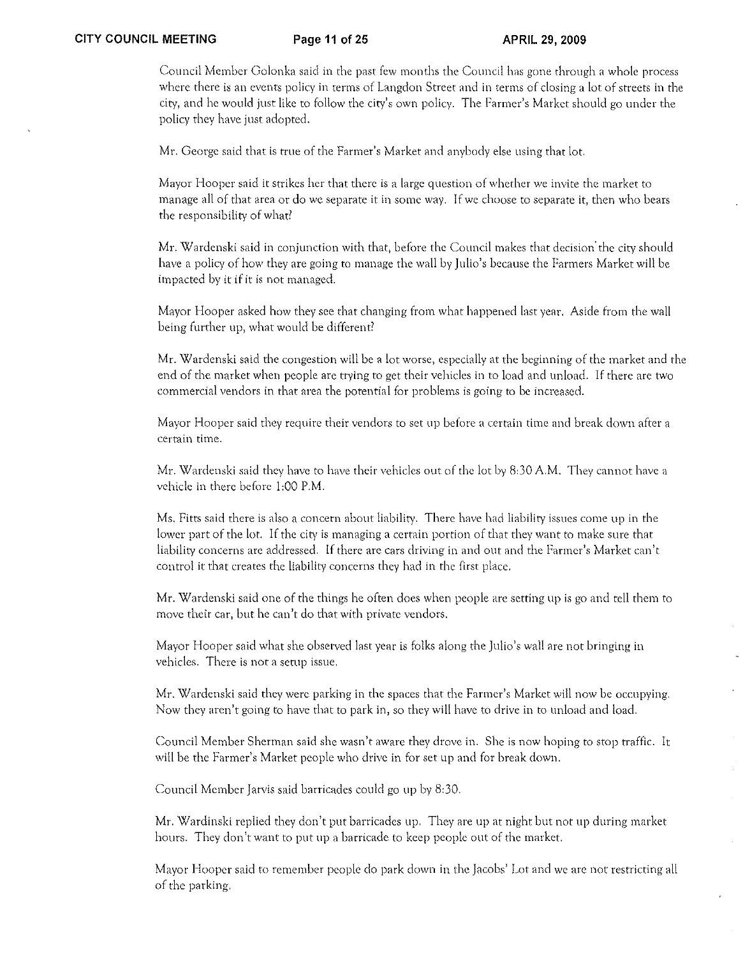Council Member Golonka said in the past few months the Council has gone through a whole process where there is an events policy in terms of Langdon Street and in terms of closing a lot of streets in the city, and he would just like to follow the city's own policy. The Farmer's Market should go under the policy they have just adopted.

Mr. George said that is true of the Farmer's Market and anybody else using that lot.

Mayor Hooper said it strikes her that there is a large question of whether we invite the market to manage all of that area or do we separate it in some way. If we choose to separate it, then who bears the responsibility of what?

Mr. Wardcnski said in conjunction with that, before the Council makes that decision' the city should have a policy of how they arc going to manage the wall by Julio's because the Fanners Market will be impacted by it if it is not managed.

Mayor Hooper asked how they see that changing from what happened last year. Aside from the wall being further up, what would be different?

Mr. Wardenski said the congestion will be a lot worse, especially at the beginning of the market and the end of the market when people are ttying to get their vehicles in to load and unload. If there are two commercial vendors in that area the potential for problems is going to be increased.

Mayor Hooper said they require their vendors to set up before a certain time and break down after a certain time.

Mr. Wardenski said they have to have their vehicles out of the lot by 8:30 A.M. They cannot have a vehicle in there before 1:00 P.M.

Ms. Fitts said there is also a concern about liability. There have had liability issues come up in the lower part of the lot. If the city is managing a certain portion of that they want to make sure that liability concerns are addressed. If there are cars driving in and out and the Farmer's Market can't control it that creates the liability concerns they had in the first place.

Mr. Wardenski said one of the things he often does when people are setting up is go and tell them to move their car, but he can't do that with private vendors.

Mayor Hooper said what she observed last year is folks along the Julio's wall are not bringing in vehicles. There is not a setup issue.

Mr. Wardenski said they were parking in the spaces that the Farmer's Market will now be occupying. Now they aren't going to have that to park in, so they will have to drive in to unload and load.

Council Member Sherman said she wasn't aware they drove in. She is now hoping to stop traffic. It will be the Farmer's Market people who drive in for set up and for break down.

Council Member Jarvis said barricades could go up by 8:30.

Mr. Wardinski replied they don't put barricades up. They are up at night but not up during market hours. They don't want to put up a barricade to keep people out of the market.

Mayor Hooper said to remember people do park down in the Jacobs' Lot and we are not restricting all of the parking.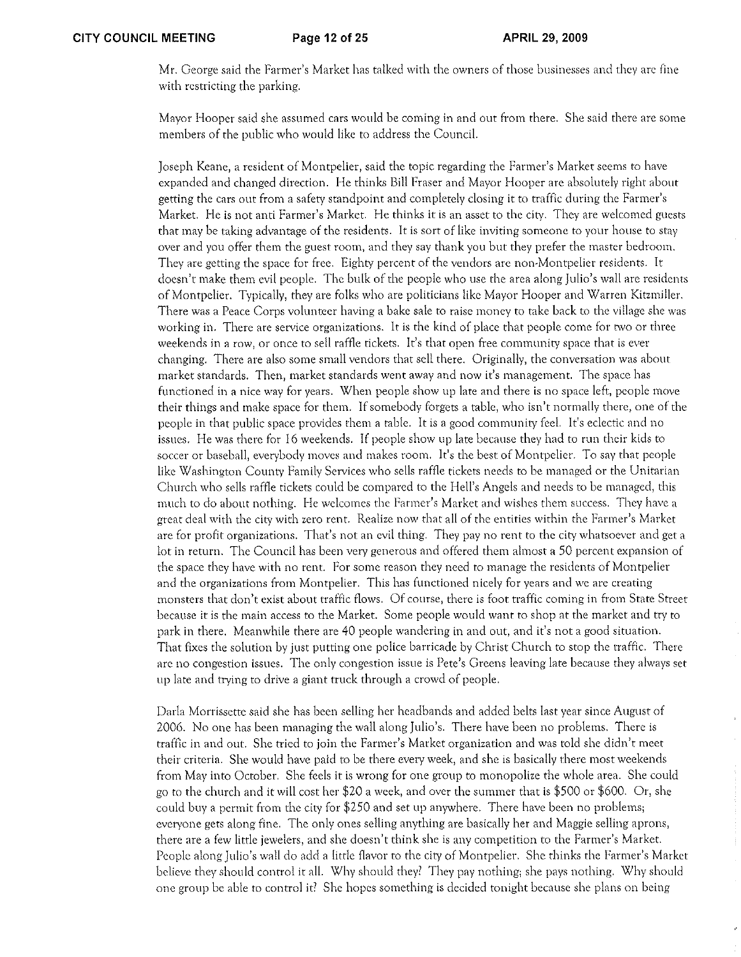Mr. George said the Farmer's Market has talked with the owners of those businesses and they are fine with restricting the parking.

Mayor Hooper said she assumed cars would be coming in and out from there. She said there are some members of the public who would like to address the CounciL

Joseph Keane, a resident of Montpelier, said the topic regarding the Fanner's Market seems to have expanded and changed direction. He thinks Bill Fraser and Mayor Hooper are absolutely right about getting the cars out from a safety standpoint and completely closing it to traffic during the Farmer's Market. He is not anti Farmer's Market. He thinks it is an asset to the city. They are welcomed guests that may be taking advantage of the residents. It is sort of like inviting someone to your house to stay over and you offer them the guest room, and they say thank you but they prefer the master bedroom. They are getting the space for free. Eighty percent of the vendors are non-Montpelier residents. It doesn't make them evil people. The bulk of the people who use the area along Julio's wall are residents of Montpelier. Typically, they are folks who are politicians like Mayor Hooper and Warren Kitzmiller. There was a Peace Corps volunteer having a bake sale to raise money to take back to the village she was working in. There are service organizations. It is the kind of place that people come for two or three weekends in a row, or once to sell raffle tickets. It's that open free community space that is ever changing. There are also some small vendors that sell there. Originally, the conversation was about market standards. Then, market standards went away and now it's management. The space has functioned in a nice way for years. When people show up late and there is no space left, people move their things and make space for them. If somebody forgets a table, who isn't normally there, one of the people in that public space provides them a table. It is a good community feel. It's eclectic and no issues. He was there for 16 weekends. If people show up late because they had to run their kids to soccer or baseball, everybody moves and makes room. It's the best of Montpelier. To say that people like Washington County Family Services who sells raffle tickets needs to be managed or the Unitarian Church who sells raffle tickets could be compared to the Hell's Angels and needs to be managed, this much to do about nothing. He welcomes the Fanner's Market and wishes them success. They have a great deal with the city with zero rent. Realize now that all of the entities within the Fanner's Market are for profit organizations. That's not an evil thing. They pay no rent to the city whatsoever and get a lot in return. The Council has been very generous and offered them almost a 50 percent expansion of the space they have with no rent. For some reason they need to manage the residents of Montpelier and the organizations from Montpelier. This has functioned nicely for years and we are creating monsters that don't exist about traffic flows. Of course, there is foot traffic coming in from State Street because it is the main access to the Market. Some people would want to shop at the market and try to park in there. Meanwhile there are 40 people wandering in and out, and it's not a good situation. That fixes the solution by just putting one police barricade by Christ Church to stop the traffic. There are no congestion issues. The only congestion issue is Pete's Greens leaving late because they always set up late and trying to drive a giant truck through a crowd of people.

Darla Morrissette said she has been selling her headbands and added belts last year since August of 2006. No one has been managing the wall along Julio's. There have been no problems. There is traffic in and out. She tried to join the Fanner's Market organization and was told she didn't meet their criteria. She would have paid to be there every week, and she is basically there most weekends from May into October. She feels it is wrong for one group to monopolize the whole area. She could go to the church and it will cost her \$20 a week, and over the summer that is \$500 or \$600. Or, she could buy a permit from the city for \$250 and set up anywhere. There have been no problems; everyone gets along fine. The only ones selling anything are basically her and Maggie selling aprons, there arc a few little jewelers, and she doesn't think she is any competition to the Farmer's Market. People along Julio's wall do add a little flavor to the city of Montpelier. She thinks the Farmer's Market believe they should control it all. Why should they? They pay nothing; she pays nothing. Why should one group be able to conrrol it? She hopes something is decided tonight because she plans on being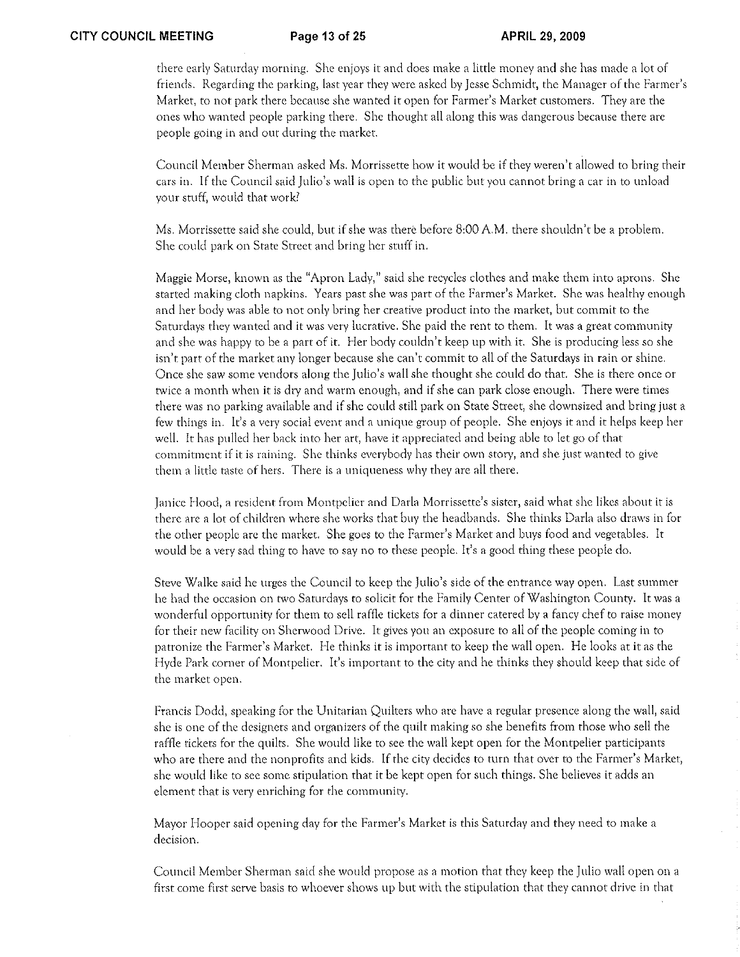there early Saturday morning. She enjoys it and does make a little money and she has made a lot of friends. Regarding the parking, last year they were asked by Jesse Schmidt, the Manager of the Farmer's Market, to not park there because she wanted it open for Farmer's Market customers. They are the ones who wanted people parking there. She thought all along this was dangerous because there arc people going in and out during the market.

Council Member Sherman asked Ms. Morrissette how it would be if they weren't allowed to bring their cars in. If the Council said Julio's wall is open to the public but you cannot bring a car in to unload your stuff, would that work?

Ms. Morrissette said she could, but if she was rhere before 8:00 A.M. there shouldn't be a problem. She could park on State Street and bring her stuff in.

Maggie Morse, known as the "Apron Lady," said she recycles clothes and make them into aprons. She started making cloth napkins. Years past she was part of the Farmer's Market. She was healthy enough and her body was able to not only bring her creative product into the market, but commit to the Saturdays they wanted and it was very lucrative. She paid the rent to them. It was a great community and she was happy to be a part of it. Her body couldn't keep up with it. She is producing less so she isn't part of the market any longer because she can't commit to all of the Saturdays in rain or shine. Once she saw some vendors along the Julio's wall she thought she could do that. She is there once or twice a month when it is dty and warm enough, and if she can park close enough, There were times there was no parking available and if she could still park on State Street, she downsized and bring just a few things in, It's a very social event and a unique group of people, She enjoys it and it helps keep her well. It has pulled her back into her art, have it appreciated and being able to let go of that commitment if it is raining. She thinks everybody has their own story, and she just wanted to give them a little taste of hers, There is a uniqueness why they are all there,

Janice Hood, a resident from Montpelier and Darla Morrissette's sister, said what she likes about it is there are a lot of children where she works that buy the headbands. She rhinks Darla also draws in for the other people are the market. She goes to the Farmer's Market and buys food and vegetables. It would be a very sad thing to have to say no ro rhese people. It's a good thing these people do.

Steve Walke said he urges the Council to keep the Julio's side of the entrance way open. Last summer he had the occasion on two Saturdays to solicit for the Family Center of Washington County. It was a wonderful opportunity for them to sell raffle tickets for a dinner catered by a fancy chef to raise money for their new facility on Sherwood Drive. It gives you an exposure to all of the people coming in to patronize the Fanner's Market. He thinks it is important to keep the wall open. He looks at it as the Hyde Park corner of Montpelier. It's important to the city and he thinks they should keep that side of the market open,

Francis Dodd, speaking for the Unitarian QUilters who are have a regular presence along the wall, said she is one of the designers and organizers of the quilt making so she benefits from those who sell the raffle tickets for the quilts. She would like to see the wall kept open for the Montpelier participants who are there and the nonprofits and kids. If the city decides to turn that over to the Farmer's Market, she would like to see some stipulation that it be kept open for such things. She believes it adds an element that is very enriching for the community.

Mayor Hooper said opening day for the Farmer's Market is this Saturday and they need to make a decision.

Council Member Sherman said she would propose as a motion that they keep the Julio wall open on a first come first serve basis to whoever shows up but with the stipulation that they cannot drive in that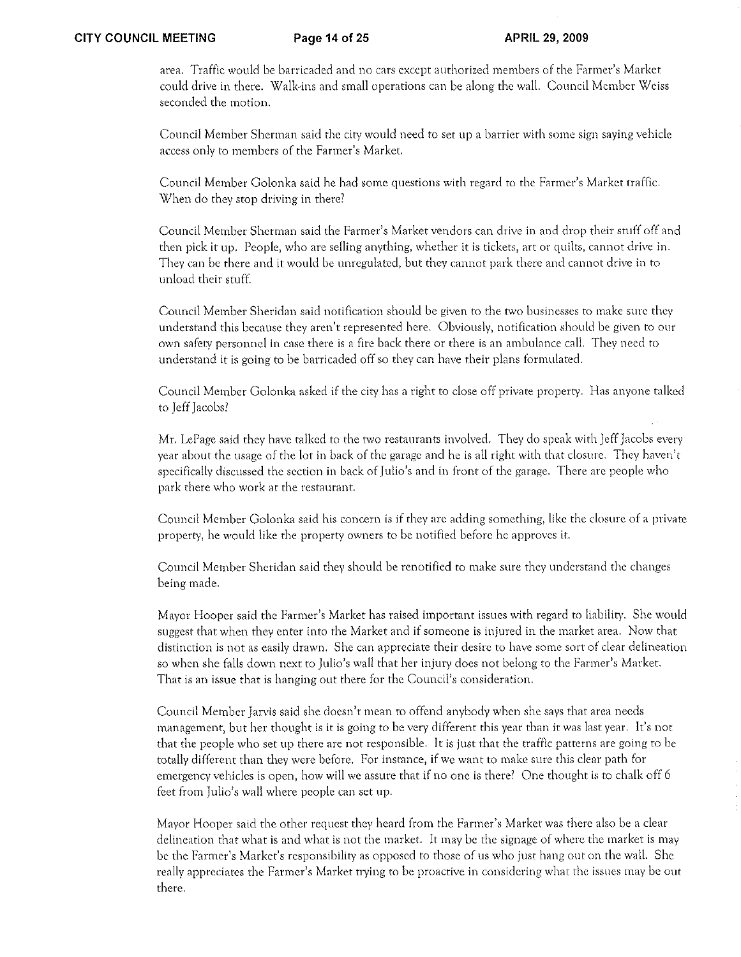area, Traffic would be barricaded and no cars except authorized members of the Farmer's Market could drive in there. Walk·ins and small operations can be along the wall. Council Member Weiss seconded the motion.

Council Member Sherman said the city would need to set lip a barrier with some sign saying vehicle access only to members of the Fanner's Market.

Council Member Golonka said he had some questions with regard to the Farmer's Market naffic. When do they stop driving in there?

Council Member Sherman said the Farmer's Market vendors can drive in and drop their stuff off and then pick it up. Peoplc, who are selling anything, whether it is tickets, art or quilts, cannot drive in. They can be there and it would be unregulated, but they cannot park there and cannot drive in to unload their stuff.

Council Member Sheridan said notification should be given to the two businesses to make sure they understand this because they aren't represented here. Obviously, notification should be given to our own s8fety personnel in case there is a fire back there or there is an ambulance call. They need to understand it is going to be barricaded off so they can have their plans formulated.

Council Member Golonka asked if the city has a right to close off private property. Has anyone talked to Jeff Jacobs?

Mr. LePage said they have talked to the two restaurants involved. They do speak with Jeff Jacobs every year about the usage of the lot in back of the garage and he is all right with that closure. They haven't specifically discussed the section in back of Julio's and in front of the garage. There are people who park there who work at the restaurant.

Council Member Golonka said his concern is if they are adding something, like the closure of a private property, he would like the property owners to be notified before he approves it.

Council Member Sheridan said they should be renotified to make sure they understand the changes being made.

Mayor Hooper said the Farmer's Market has raised important issues with regard to liability. She would suggest that when they enter into the Market and if someone is injured in the market area. Now that distinction is not as easily drawn. She can appreciate their desire to have some sort of clear delineation so when she falls down next to Julio's wall that her injury does not belong to the Fanner's Market. That is an issue that is hanging out there for the Council's consideration.

Council Member Jarvis said she doesn't mean to offend anybody when she says that area needs management, but her thought is it is going to be very different this year than it was last year. It's not that the peoplc who set up there are not responsible. It is just that the traffic patterns are going to be totally different than they were before. For instance, if we want to make sure this clear path for emergency vehicles is open, how will we assure that if no one is there' One thought is to chalk off 6 feet from Julio's wall where people can set up.

Mayor Hooper said the other request they heard from the Fatmer's Market was there also be a clear delineation that what is and what is not the market. It may be the signage of where the market is may be the Farmer's Market's responsibility as opposed to those of us who just hang out on the wall. She really appreciates the Farmer's Market trying to be proactive in considering what the issues may be out there.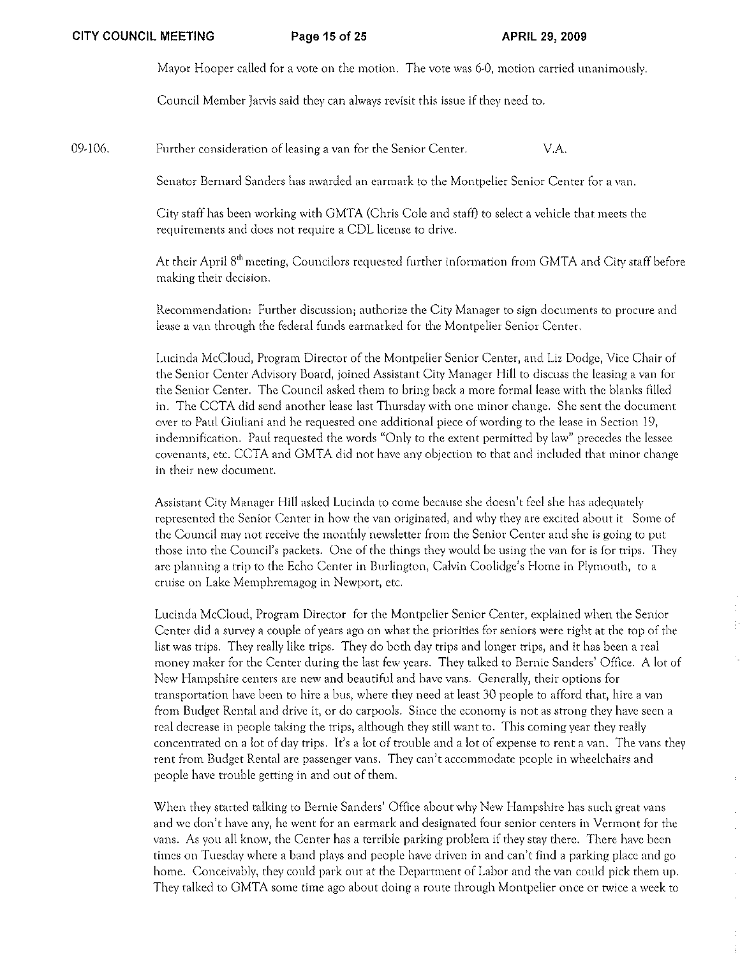Mayor Hooper called for a vote on the motion. The vote was 6-0, motion carried unanimously.

Council Mernbcr Jarvis said they can always revisit this issue if they need to.

09-106. Further consideration of leasing a van for the Senior Center. V.A.

Senator Bernard Sanders has awarded an earmark to the Montpelier Senior Center for a van.

City staff has been working with GMTA (Chris Cole and staff) to select a vehicle that meets the requirements and does not require a CDL license to drive.

At their April 8<sup>th</sup> meeting, Councilors requested further information from GMTA and City staff before making their decision.

Recommendation: Further discussion; authorize the City Manager to sign documents to procure and lease a van through the federal funds earmarked for the Montpelier Senior Center.

Lucinda McCloud, Program Director of the Montpelier Senior Center, and Liz Dodge, Vice Chair of the Senior Center Advisory Board, joined Assistant City Manager Hill to discuss the leasing a van for the Senior Center. The Council asked them to bring back a more formal lease with the blanks filled in. The CCTA did send another lease last Thursday with one minor change. She sent the document over to Paul Giuliani and he requested one additional piece of wording to the lease in Section 19~ indemnification. Paul requested the words "Only to the extent permitted by law" precedes the lessee covenants, etc. CCTA and GMTA did not have any objection to that and included that minor change in their new document.

Assistant City Manager Hill asked Lucinda to come because she doesn't feel she has adequately represented the Senior Center in how the van originated, and why they are excited about it Some of the Council may not receive the monthly newsletter from the Senior Center and she is going to put those into the Council's packets. One of the things they would be using the van for is for trips. They are planning a trip to the Echo Center in Burlington, Calvin Coolidge's Home in Plymouth, to a cruise on Lake Memphremagog in Newport, etc.

Lucinda McCloud, Program Director for the Montpelier Senior Center, explained when the Senior Center did a survey a couple of years ago on what the priorities for seniors were right at the top of the list was trips. They really like trips. They do both day trips and longer trips, and it has been a real money maker for the Center during the last few years. They talked to Bernie Sanders' Office. A lot of New Hampshire centers are new and beautiful and have vans. Generally, their options for transportation have been to hire a bus, where they need at least 30 people to afford that, hire a van from Budget Rental and drive it, or do carpools. Since the economy is not as strong they have seen a real decrease in people taking the trips, although they still want to. This coming year they really concentrated on a lot of day trips. It's a lot of trouble and a lot of expense to rent a van. The vans they rent from Budget Rental are passenger vans. They can't accommodate people in wheelchairs and people have trouble getting in and out of them.

When they started talking to Bernie Sanders' Office about why New Hampshire has such great vans and we don't have any, he went for an earmark and designated four senior centers in Vermont for the vans. As you all know, the Center has a terrible parking problem if they stay there. There have been times on Tuesday where a band plays and people have driven in and can't find a parking place and go home. Conceivably) they could park out at the Department of Labor and the van could pick them up. They talked to GMTA some time ago about doing a route through Montpelier once or twice a week to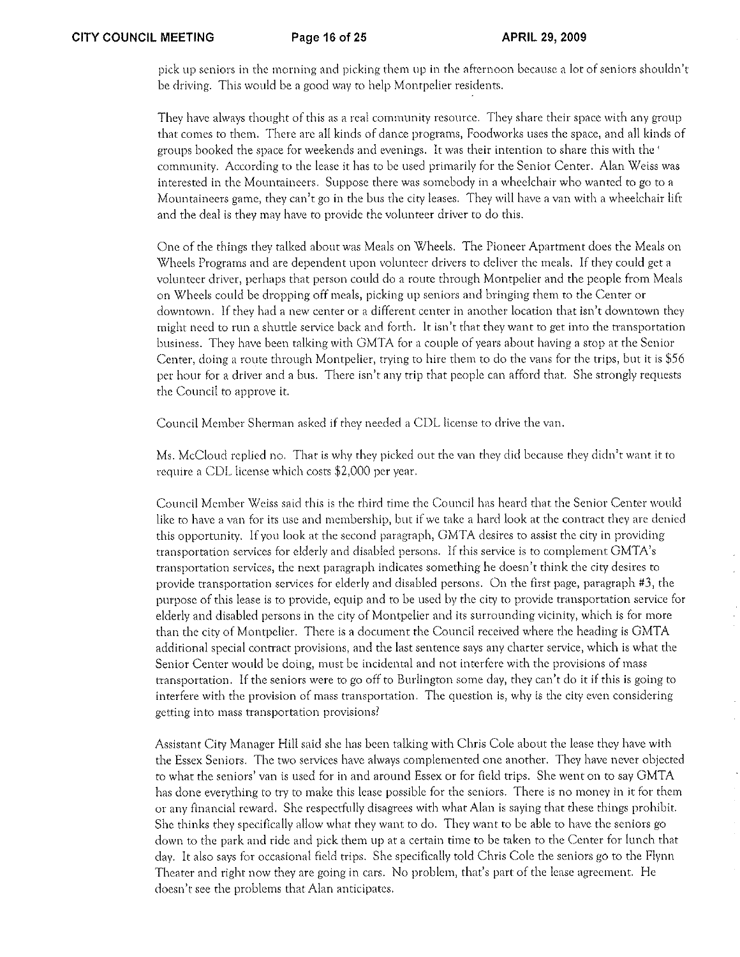pick lip seniors in the morning and picking them up in the afternoon because a lot of seniors shouldn't be driving. This would be a good way to help Montpelier residents.

They have always thought of this as a real community resource. They share their space with any group that comes to them. There are all kinds of dance programs, Foodworks uses the space, and all kinds of groups booked the space for weekends and evenings. It was their intention to share this with the ' community. According to the lease it has to be used primarily for the Senior Center. Alan Weiss was interested in the Mountaineers. Suppose there was somebody in a wheelchair who wanted to go to a Mountaineers game, they can't go in the bus the city leases. They will have a van with a wheelchair lift and the deal is they may have to provide the volunteer driver to do this.

One of the things they talked about was Meals on Wheels. The Pioneer Apartment docs the Meals on Wheels Programs and arc dependent upon volunteer drivers to deliver the meals. If they could get a volunteer driver) perhaps that person could do a route through Montpelier and the people from Meals on Wheels could be dropping off meals, picking up seniors and bringing them to the Center or downtown. If they had a new center or a different center in another location that isn't downtown they might need to fun a shuttle service back and forth. It isn't that they want to get into the transportation business. They have been talking with GMTA for a couple of years about having a stop at the Senior Center, doing a route through Montpelier, trying to hire them to do the vans for the trips, but it is \$56 per hour for a driver and a bus. There isn't any trip that people can afford that. She strongly requests the Council to approve it.

Council Member Sherman asked if they needed a CDL license to drive the van.

Ms. McCloud replied no. That is why they picked out the van they did because they didn't want it to require a CDL license which costs \$2,000 per year.

Council Member Weiss said this is the third time the Council has heard that the Senior Center would like to have a van for its use and membership, but if we take a hard look at the contract they are denied this opportunity. If you look at the second paragraph, GMTA desires to assist the city in providing transportation services for elderly and disabled persons. If this service is to complement GMTA's transportation services, the next paragraph indicates something he doesn't think the city desires to provide transportation services for elderly and disabled persons. On the first page, paragraph #3, the purpose of this lease is to provide, equip and to be used by the city to provide transportation service for elderly and disabled persons in the city of Montpelier and its surrounding vicinity, which is for more than the city of Montpelier. There is a document the Council received where the heading is GMTA additional special contract provisions, and the last sentence says any charter service, which is what the Senior Center would be doing) must be incidental and not interfere with the provisions of mass transportation, If the seniors were to go off to Burlington some day) they can)t do it if this is going to interfere with the provision of mass transportation. The question is, why is the city even considering getting into mass transportation provisions?

Assistant City Manager Hill said she has been talking with Chris Cole about the lease they have with the Essex Seniors. The two services have always complemented one another. They have never objected to what the seniors' van is used for in and around Essex or for field trips. She went on to say GMT A has done everything to try to make this lease possible for the seniors. There is no money in it for them or any financial reward. She respectfully disagrees with what Alan is saying that these things prohibit. She thinks they specifically allow what they want to do. They want to be able to have the seniors go down to the park and ride and pick them up at a certain tirne to be taken to the Center for lunch that day. It also says for occasional field trips. She specifically told Chris Calc the seniors go to the Flynn Theater and right now they are going in cars. No problem, that's part of the lease agreement. He docsn)t see the problems that Alan anticipates.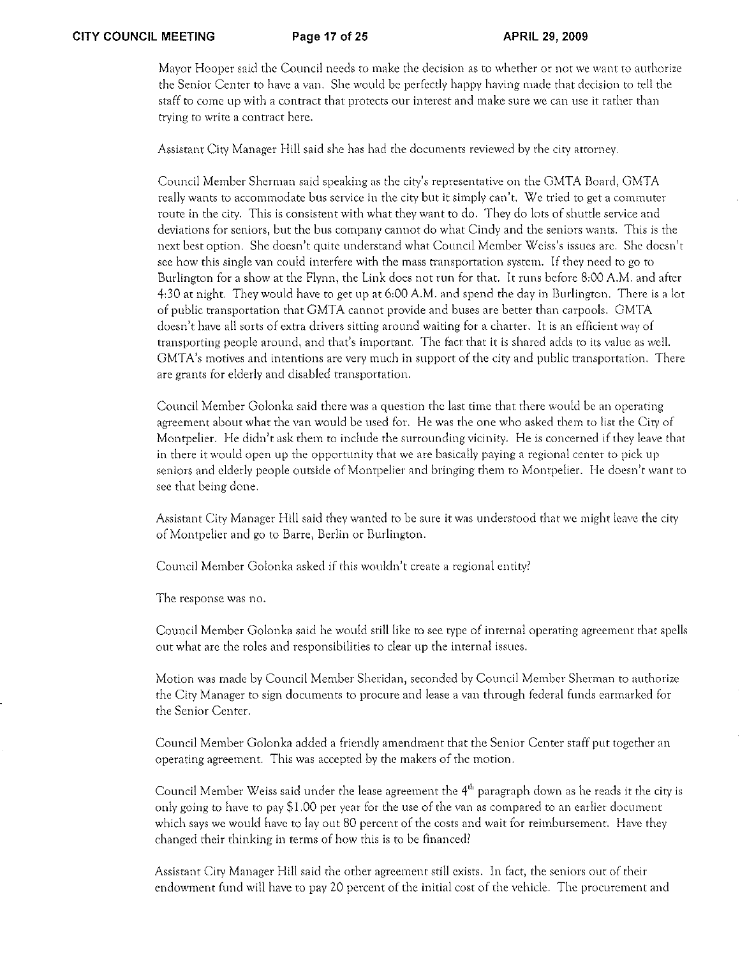Mayor Hooper said the Council needs to make the decision as to whether or not we want to authorize the Senior Center to have a van. She would be perfectly happy having made that decision to tell the staff to come up with a contract that protects our interest and make sure we can usc it rather than trying to write a contract here.

Assistant City Manager Hill said she has had the documents reviewed by the city attorney.

Council Member Sherman said speaking as the city's representative on the GMTA Board, GMTA really wants to accommodate bus service in the city but it simply can't. We tried to get a commuter route in the city, This is consistent with what they want to do. They do lots of shuttle service and deviations for seniors, but the bus company cannot do what Cindy and the seniors wants. This is the next best option. She doesn't quite understand what Council Member Weiss's issues arc. She doesn't sec how this single van could interfere with the mass transportation systern. If they need to go to Burlington for a show at the Flynn, the Link does not run for that. It runs before 8:00 A.M. and after 4:30 at night. They would have to get up at 6:00 A.M. and spend the day in Burlington. There is a lot of public transportation that GMTA cannot provide and buses are better than carpools. GMTA doesn't have all sorts of extra drivers sitting around waiting for a charter. It is an efficient way of transporting people around, and that's important. The fact that it is shared adds to its value as well. GMTA's motives and intentions are very much in support of the city and public transportation. There are grants for elderly and disabled transportation.

Council Member Golonka said there was a question the last time that there would be an operating agreement about what the van would be used for. He was the one who asked them to list the City of Montpelier. He didn't ask them to include the surrounding vicinity. He is concerned if they leave that in there it would open up the opportunity that we are basically paying a regional center to pick up seniors and elderly people outside of Montpelier and bringing them to Montpelier. He doesn't want to see that being done.

Assistant City Manager Hill said they wanted to be sure it was understood that we might leave the city of Montpelier and go to Barre, Berlin or Burlington.

Council Member Golonka asked if this wouldn't create a regional entity?

The response was no.

Council Member Golonka said he would still like to see type of internal operating agreement that spells out what are the roles and responsibilities to clear up the internal issues,

Motion was made by Council Member Sheridan, seconded by Council Member Sherman to authorize the City Manager to sign documents to procure and lease a van through federal funds earmarked for the Senior Center.

Council Member Golonka added a friendly amendment that the Senior Center staff put together an operating agreement, This was accepted by the makers of the motion,

Council Member Weiss said under the lease agreement the 4<sup>th</sup> paragraph down as he reads it the city is only going to have to pay \$1.00 per year for the use of the van as compared to an earlier document which says we would have to layout 80 percent of the costs and wait for reimbursement, Have they changed their thinking in terms of how this is to be financed?

Assistant City Manager Hill said the other agreement still exists. In fact, the seniors out of their endowment fllnd will have to pay 20 percent of the initial cost of the vehicle. The procurement and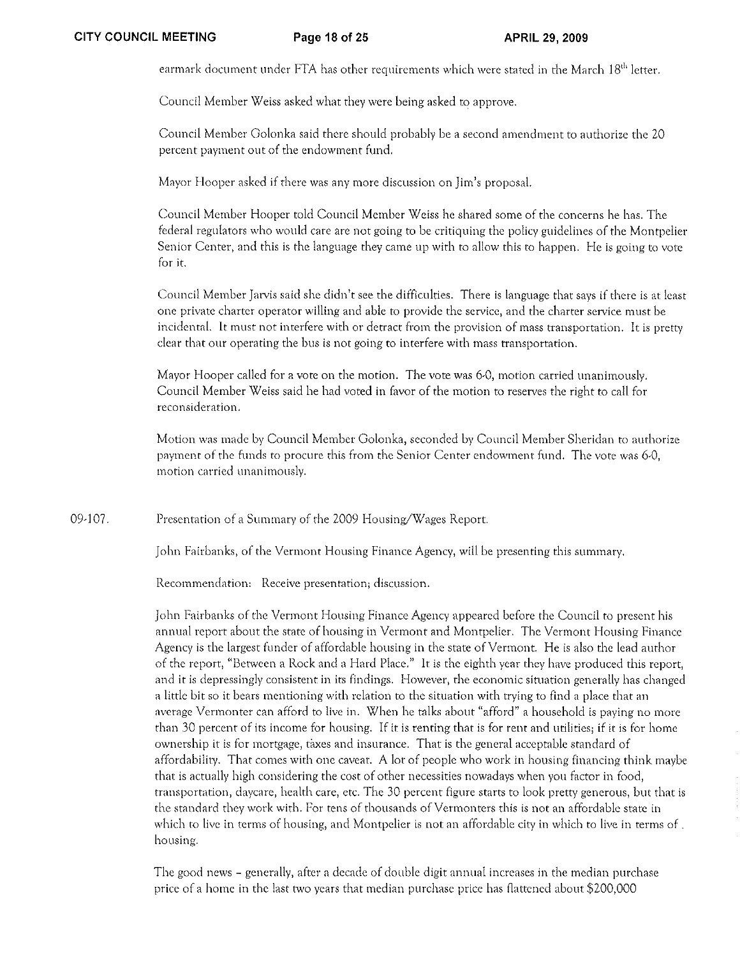earmark document under FTA has other requirements which were stated in the March 18<sup>th</sup> letter.

Council Member Weiss asked what they were being asked to approve.

Council Member Golonka said there should probably be a second amendment to authorize the 20 percent payment out of the endowment fund.

Mavor Hooper asked if there was any more discussion on Jim's proposal.

Council Member Hooper told Council Member Weiss he shared some of the concerns he has. The federal regulators who would care are not going to be critiquing the policy guidelines of the Montpelier Senior Center, and this is the language they came up with to allow this to happen. He is going to votc for it.

Council Member Jarvis said she didn't see the difficulties. There is language that says if there is at least one private charter operator willing and able to provide the service, and the charter service must be incidentaL It must not interfere with or detract from the provision of mass transportation, It is pretty clear that our operating the bus is not going to interfere with mass transportation.

Mayor Hooper called for a vote on the motion. The vote was 6-0, motion carried unanimously, Council Member Weiss said he had voted in favor of the motion to reserves the right to call for reconsideration,

Motion was made by Council Member Golonka, seconded by Council Member Sheridan to authorize payment of the funds to procure this from the Senior Center endowment fund, The vote was 6-0, motion carried unanimously,

09-107. Presentation of a Summary of the 2009 Housing/Wages Report.

John Fairbanks, of the Vermont Housing Finance Agency, will be presenting this summary.

Recommendation: Receive presentation; discussion.

John Fairbanks of the Vermont Housing Finance Agency appeared before the Council to present his annual report about the state of housing in Vermont and Montpelier. The Vermont Housing Finance Agency is the largest funder of affordable housing in the state of Vermont. He is also the lead author of the report, "Between a Rock and a Hard Place." It is the eighth year they have produced this report, and it is depressingly consistent in its findings. However, the economic situation generally has changed a little bit so it bears mentioning with relation to the situation with trying to find a place that an average Vermonter can afford to live in, When he talks about "afford" a household is paying no more than 30 percent of its income for housing, If it is renting that is for rent and utilities; if it is for home ownership it is for mortgage, taxes and insurance. That is the general acceptable standard of affordabiliry. That comes with one caveat. A lot of people who work in housing financing think maybe that is actually high considering the cost of other necessities nowadays when you factor in food, transportation, daycarc, health care, etc. The 30 percent figure starts to look pretty generous, but that is the standard they work with. For tens of thousands of Vermonters this is not an affordable state in which to live in terms of housing, and Montpelier is not an affordable city in which to live in terms of . housing,

The good news - generally, after a decade of double digit annual increases in the median purchase price of a home in the last two years that median purchase price has flattened about \$200,000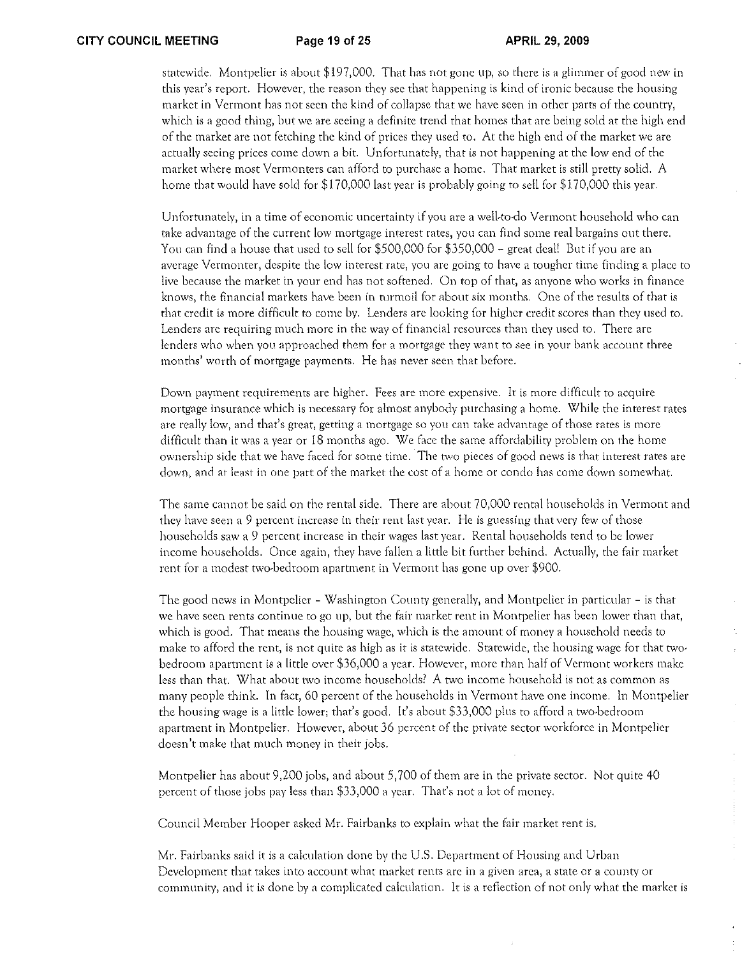statewide. Montpelier is about \$197)000. That has not gone up, so there is a glimmer of good new in this year's report. However, the reason they sec that happening is kind of ironic because the housing market in Vermont has not seen the kind of collapse that we have secn in other parts of the country, which is a good thing, but we are seeing a definite trend that homes that are being sold at the high end of the market are not fetching the kind of prices they used to. At the high end of the market we are actually seeing prices come down a bit. Unfortunately, that is not happening at the low end of the market where most Vermonters can afford to purchase a home. That market is still pretty solid. A home that would have sold for \$170,000 last year is probably going to sell for \$170,000 this year.

Unfortunately, in a time of economic uncertainty if you are a well-to-do Vermont household who can take advantage of the current low mortgage interest rates, you can find some real bargains out there. You can find a house that used to sell for \$500,000 for \$350,000 - great deal' But if you are an average Vermonter, despite the low interest rate, you are going to have a tougher time finding a place to live because the market in your end has not softened. On top of that, as anyone who works in finance knows, the financial markets have been in turmoil for about six months. One of the results of that is that credit is more difficult to come by. Lenders are looking for higher credit scores than they used to. Lenders are requiring much more in the way of financial resources than they used to. There are lenders who when you approached them for a mortgage they want to sec in your bank account three months' worth of mortgage payments. He has never seen that before.

Down payment requirements are higher. Fees arc more expensive. It is more difficult to acquire mortgage insurance which is nccessaty for almost anybody purchasing a home. While the interest rates are really low, and that's great, getting a mortgage so you can take advantage of those rates is more difficult than it was a year or 18 months ago. We face the same affordability problem on the home ownership side that we have faced for some time. The two pieces of good news is that interest rates are down, and at least in one part of the market the cost of a home or condo has come down somewhat.

The same cannot be said on the rental side. There are about 70,000 rental households in Vermont and they have seen a 9 percent increase in their rent last year. He is guessing that very few of those households saw a 9 percent increasc in their wages last year. Rental households tend to be lower income households. Once again, they have fallen a little bit further behind. Actually, the fair market rent for a modest two-bedroom apartment in Vermont has gone up over \$900.

The good news in Montpelier - Washington County generally, and Montpelier in particular - is that we have seen rents continue to go up, but the fair market rent in Montpelier has been lower than that, which is good. That means the housing wage, which is the amount of money a household needs to make to afford the rent, is not quite as high as it is statewide. Statewide, the housing wage for that two~ bedroom apartment is a little over \$36 <sup>1</sup>000 a year. However, more than half of Vermont workers make less than that. What about two income households? A two income household is not as common as many people think. In fact, 60 percent of the households in Vermont have one income. In Montpelier the housing wage is a little lower; that's good. It's about \$33,000 plus to afford a two-bedroom apartment in Montpelier. However, about 36 percent of the private sector workforce in Montpelier doesn't make that much money in their jobs.

Montpelier has about 9,200 jobs, and about 5,700 of them are in the private sector. Not quite 40 percent of those jobs pay less than \$33,000 a year. That's not a lot of money.

Council Member Hooper asked Mr. Fairbanks to explain what the fair market rent is.

Mr. Fairbanks said it is a calculation done by the U.S. Department of Housing and Urban Development that takes into account what market rents are in a given area, a state or a county or commlmityl and it *is* done by a complicated calculation. It is a reflection of not only what the market is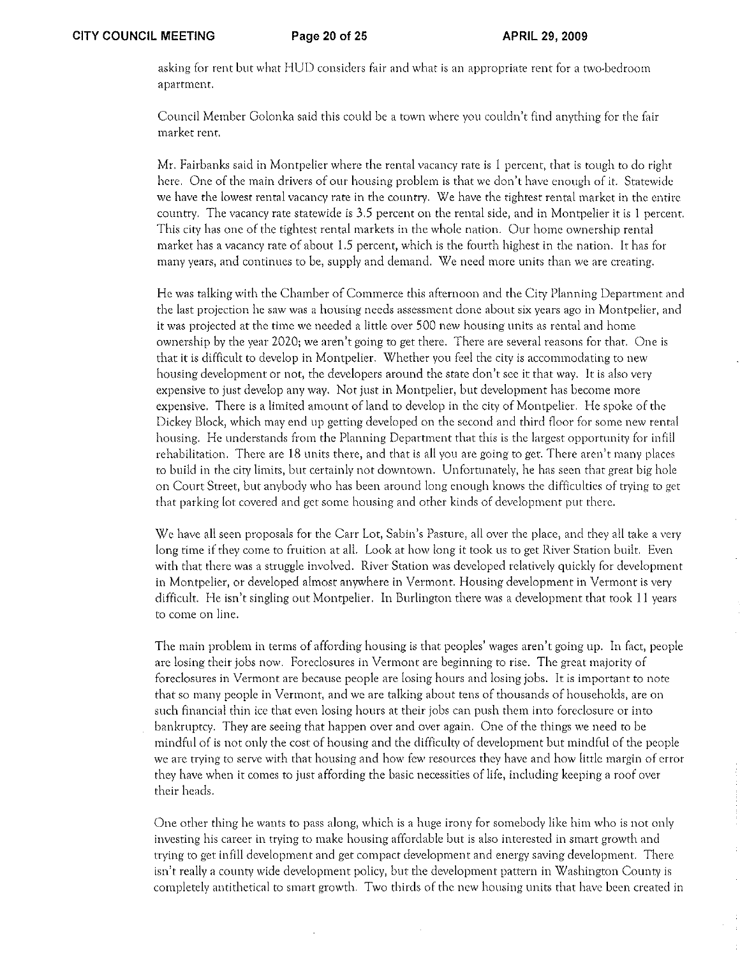asking for rent but what HUD considers fair and what is an appropriate rent for a two-bedroom apartment.

Council Member Golonka said this could be a town where you couldn't find anything for the fair market rent.

Mr. Fairbanks said in Montpelier where the rental vacancy rate is 1 percent, that is tough to do right here. One of the main drivers of our housing problem is that we don't have enough of it. Statewide we have the lowest rental vacancy rate in the country. We have the tightest rental market in the entire country. The vacancy rate statewide is 3,5 percent on the rental side, and in Montpelier it is 1 percent. This city has one of the tightest rental markets in the whole nation. Our home ownership rental market has a vacancy rate of about 1.5 percent, which is the fourth highest in the nation. It has for many years, and continues to be, supply and demand. We need more units than we are creating.

He was talking with the Chamber of Commerce this afternoon and the City Planning Department and the last projection he saw was a housing needs assessment done about six years ago in Montpelier, and it was projected at the time we needed a little over 500 new housing units as rental and home ownership by the year 2020; we aren't going to get there. There are several reasons for that. One is that it is difficult to develop in Montpelier. Whether you feel the city is accommodating to new housing development or not, the developers around the state don't see it that way. It is also very expensive to just develop any way. Not just in Montpelier, but development has become more expensive. There is a limited amount of land to develop in the city of Montpelier. He spoke of the Dickey Block, which may end up getting developed on the second and third floor for some new rental housing. He understands from the Planning Department that this is the largest opportunity for infill rehabilitation. There are 18 units there, and that is all you are going to get. There aren't many places to build in the city limits, but certainly not downtown, Unfortunately, he has seen that great big hole on Court Street, but anybody who has been around long enough knows the difficulties of trying to get that parking lot covered and get some housing and other kinds of dcveloprnent put there,

We have all seen proposals for the Carr Lot, Sabin's Pasture, all over the place, and they all take a very long time if they come to fruition at all. Look at how long it took us to get River Station built. Even with that there was a struggle involved. River Station was developed relatively quickly for development in Montpelier, or developed almost anywhere in Vermont. Housing development in Vermont is very difficult. He isn't singling out Montpelier. In Burlington there was a development that took II years to come on line,

The main problem in terms of affording housing is that peoples' wages aren't going up, In fact, people are losing their jobs now, Foreclosures in Vermont are beginning to rise, The great majority of foreclosures in Vermont are because people are losing hours and losing jobs, It is important to note that so many people in Vermont, and we are talking about tens of thousands of households, are on such financial thin ice that even losing hours at their jobs can push them into foreclosure or into bankruptcy, They are seeing that happen over and over again, One of the things we need to be mindful of is not only the cost of housing and the difficulty of development but mindful of the people we are trying to serve with that housing and how few resources they have and how little margin of error they have when it comes to just affording the basic necessities of life, including keeping a roof over their heads.

One other thing he wants to pass along, which is a huge irony for somebody like him who is not only investing his career in trying to make housing affordable but is also interested in smart growth and trying to get infil! development and get compact development and energy saving development. There isn't really a county wide development policy, but the development pattern in Washington County is completely antithetical to smart growth. Two thirds of the new housing units that have been creatcd in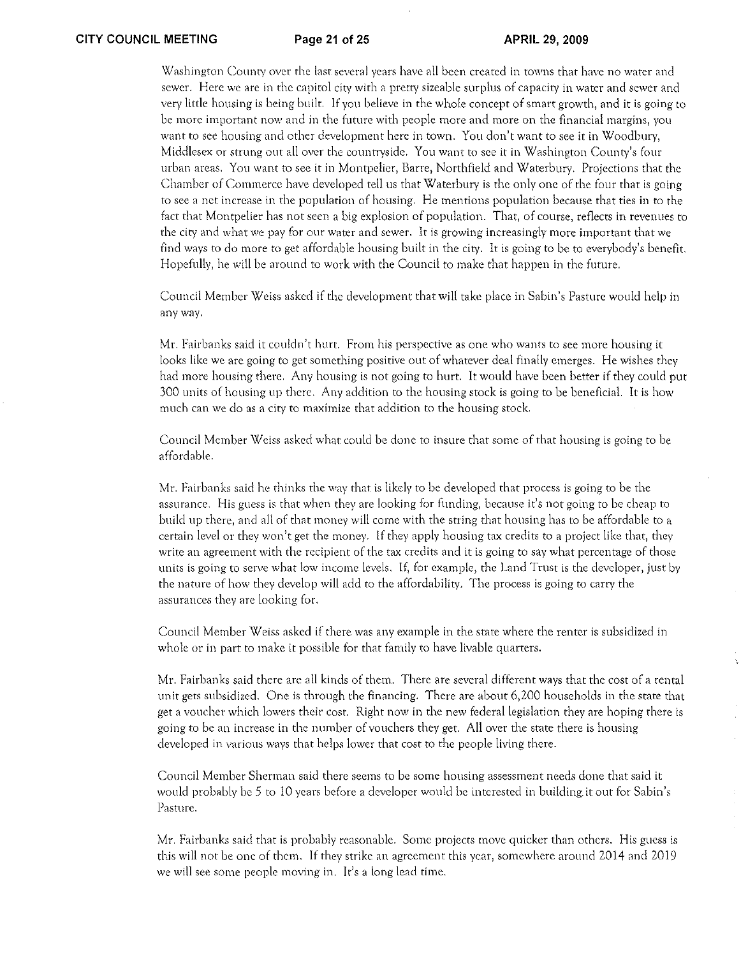Washington County over the last several years have all been created in towns that have no water and sewer. Here we arc in the capitol city with a pretty sizeable surplus of capacity in water and sewer and very little housing is being built. If you believe in the whole concept of smart growth, and it is going to be more important now and in the future with people more and more on the financial margins, you want to see housing and other development here in town. You don't want to see it in Woodbury, Middlesex or strung out all over the countryside. You want to see it in Washington County's four urban areas. You want to see it in Montpelier, Barre, Northfield and Waterbury. Projections that the Chamber of Commerce have developed tell us that Waterbury is the only one of the four that is going to sec a net increase in the population of housing. He mentions population because that ties in to the fact that Montpelier has not seen a big explosion of population. That, of course, reflects in revenues to the city and what we pay for our water and sewer. It is growing increasingly more important that we find ways to do more to get affordable housing built in the city. It is going to be to everybody's benefit. Hopefully, he will be around to work with the Council to make that happen in the future.

Council Member Weiss asked if the development that will take place in Sabin's Pasture would help in anyway.

Mr. Fairbanks said it couldn't hurt. From his perspective as one who wants to see more housing it looks like we are going to get something positive out of whatever deal finally emerges. He wishes they had more housing there. Any housing is not going to hurt. It would have been better if they could put 300 units of housing up there. Any addition to the housing stock is going to be beneficial. It is how much can we do as a city to maximize that addition to the housing stock.

Council Member Weiss asked what could be done to insure that some of that housing is going to be affordable.

Mr. Fairbanks said he thinks the way that is likely to be developed that process is going to be the assurance. His guess is that when they are looking for funding, because it's not going to be cheap to build up there, and all of that money will come with the string that housing has to be affordable to a certain level or they won't get the money. If they apply housing tax credits to a project like that, they write an agreement with the recipient of the tax credits and it is going to say what percentage of those units is going to serve what low income levels. If, for example, the Land Trust is the developer, just by the nature of how they develop will add to the affordability. The process is going to cany the assurances they are looking for.

Council Member Weiss asked if there was any example in the state where the renter is subsidized in whole or in part to make it possible for that family to have livable quarters.

Mr. Fairbanks said there arc all kinds of them. There are several different ways that the cost of a rental unit gets subsidized. One is through the financing. There are about 6,200 households in the state that get a voucher which lmvers their cost. Right now in the new federal legislation they are hoping there is going to be an increase in the number of vouchers they get. All over the state there is housing developed in various ways that helps lower that cost to the people living there.

Council Mcmber Sherman said there seems to be some housing assessment needs done that said it would probably be *5* to 10 years before a developer would be interested in building it out for Sabin's Pasturc.

Mr. Fairbanks said that is probably reasonable. Some projects move qUicker than others. His guess is this will not be one of them. If they strike an agreement this year, somewhere around 2014 and 2019 we will see some people moving in. It's a long lead time.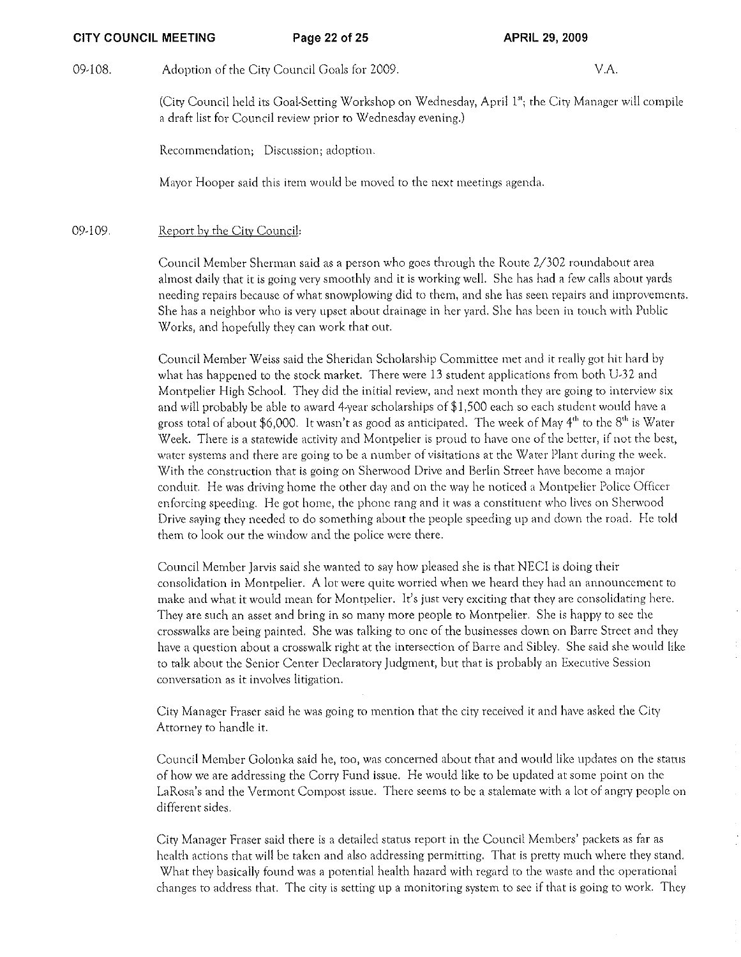### CITY COUNCIL MEETING Page 22 of 25 APRIL 29, 2009

09-108. Adoption of the City Council Goals for 2009. VA

(City Council held its Goal-Setting Workshop on Wednesday, April I"; the City Manager will compile a draft list for Council review prior to Wednesday evening.)

Recommendation; Discussion; adoption.

Mayor Hooper said this item would be moved to the next meetings agenda.

### 09-109. Report by the City Council:

Council Membet Sherman said as a person who goes through the Route 2/302 roundabout area almost daily that it is going very smoothly and it is working well. She has had a few calls about yards needing repairs because of what snowplowing did to them) and she has seen repairs and improvements. She has a neighbor who is very upset abour drainage in her yard. She has been in touch with Public Works, and hopefully they can work that out.

Council Member Weiss said the Sheridan Scholarship Committee met and it really got hit hard by what has happened to the stock market. There were 13 student applications from both U-32 and Montpelier High School. They did the initial review, and next month they are going to interview six and will probably be able to award 4-year scholarships of \$1,500 each so each student would have a gross total of about \$6,000. It wasn't as good as anticipated. The week of May 4<sup>th</sup> to the 8<sup>th</sup> is Water Week. There is a statewide activity and Montpelier is proud to have one of the better, if not the best, water systems and there are going to be a number of visitations at the Water Plant during the week. With the construction that is going on Sherwood Drive and Berlin Street have become a major conduit. He was driving home the other day and on the way he noticed a Montpelier Police Officer enforcing speeding. He got home, the phone rang and it was a constituent who lives on Sherwood Drive saying they needed to do something about the people speeding up and down the road. He told them to look out the window and the police were there.

Council Member Jarvis said she wanted to say how pleased she is that NECI is doing their consolidation in Montpelier. A lot were quite worried when we heard they had an announcement to make and what it would mean for Montpelier. It's just very exciting that they are consolidating here. They are such an asset and bring in so many more people to Montpelier. She is happy to see the crosswalks are being painted. She was talking to one of the businesses down on Barre Street and they have a question about a crosswalk right at the intersection of Barre and Sibley. She said she would like to talk about the Senior Center Declaratory Judgment, but that is probably an Executive Session conversation as it involves litigation.

City Manager Fraser said he was going to mention that the city received it and have asked the City Attorney to handle it.

Council Member Golonka said he, too, was concerned about that and would like updates on the status of how we are addressing the Cony Fund issue. He would like to be updated at some point on the LaRosa's and the Vermont Compost issue. There seems to be a stalemate with a lot of angry people on different sides.

City Manager Fraser said there is a detailed status report in the Council Members' packets as far as health actions that will be taken and also addressing permitting. That is pretty much where they stand. What they basically found was a potential health hazard with regard to the waste and the operational changcs to address that. The city is setting up a monitoring system to see if that is going to work. They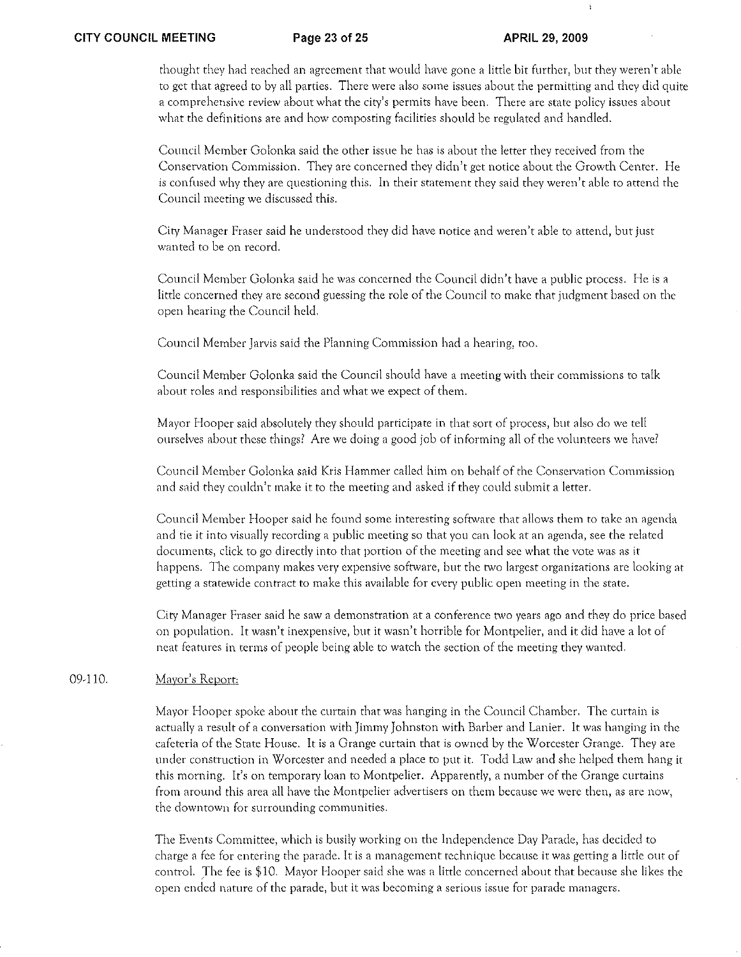thought they had reached an agreement that would have gone a little bit further, but they wercn 't able to get that agreed to by all parties. There were also some issues about the permitting and they did quite a comprehensive review about what the city's permits have been. There arc state policy issues about what the definitions ate and how composting facilities should be regulated and handled.

Council Member Golonka said the other issue he has is about the letter they teceived from the Conservation Commission. They are concerned they didn't get notice about the Growth Center. He is confused why they arc questioning this. In their statement they said they weren't able to attend the Council meeting we discussed this.

City Manager Fraser said he understood they did have notice and weren'r able to attend, but just wanted to be on record.

Council Member Golonka said he was concerned the Council didn't have a public process. He is a little concerned they arc second guessing the role of the Council to make that judgment based on the open hearing the Council held.

Council Member Jarvis said the Planning Commission had a hearing: too.

Council Member Golonka said the Council should have a meeting with their commissions to talk about roles and responsibilities and what we expect of them.

Mayor Hooper said absolutely they should participate in that sort of process, but also do we tell ourselves about these things? Are we doing a good job of informing all of the volunteers we have?

Council Member Golonka said Kris Hammer called him on behalf of the Conservation Cornmission and said they couldn't make it to the meeting and asked if they could submit a letter.

Council Member I-looper said he found some interesting software that allows them to take an agenda and tie it into visually recording a public meeting so that you can look at an agenda, see the related documents, click to go directly into that portion of the meeting and see what the vote was as it happens. The company makes very expensive software, but the two largest organizations are looking at getting a statewide contract to make this available for every public open rneeting in the state.

City Manager Fraser said he saw a demonstration at a conference two years ago and they do price based on population. It wasn't inexpensive, but it wasn't horrible for Montpelier, and it did have a lot of neat features in terms of people being able to watch the section of the meeting they wanted.

#### 09-110. Mayor's Report:

Mayor Hooper spoke about the curtain that was hanging in the Council Chamber. The curtain is actually a result of a conversation with Jimmy Johnston with Barber and Lanier. It was hanging in the cafeteria of the State HOllse. It is a Grange curtain that is owned by the Worcester Grange. They are under construction in Worcester and needed a place to put it. Todd Law and she helped them hang it this morning. It's on temporary loan to Montpelier. Apparently, a number of the Grange curtains from around this area all have the Montpelier advertisers on them because we were then, as are now, the downtown for surrounding communities.

The Events Committee, which is busily working on the Independence Day Parade, has decided to charge a fee for entering the parade. It is a management technique because it was getting a little out of control. The fee is \$10. Mayor Hooper said she was a little concerned about that because she likes the open ended nature of the parade, but it was becoming a serious issue for parade managers.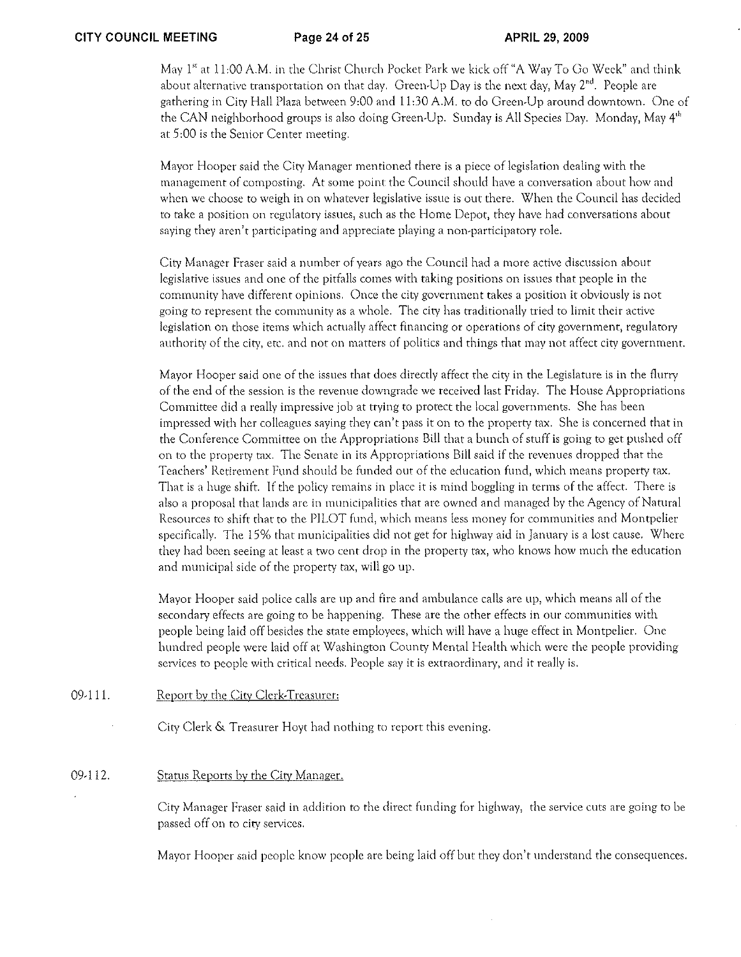May 1" at 1 1,00 A.M. in the Christ Church Pocket Park we kick off "A Way To Go Week" and think about alternative transportation on that day. Green-Up Day is the next day, May  $2<sup>nd</sup>$ . People are gathering in City Hall Plaza between 9:00 and 11 :30 A.M. to do Green-Up around downtown. One of the CAN neighborhood groups is also doing Green-Up. Sunday is All Species Day. Monday, May 4<sup>th</sup> at 5:00 is the Senior Center meeting.

Mayor Hooper said the City Manager mentioned there is a piece oflegislation dealing with the management of composting. At some point the Council should have a conversation about how and when we choose to weigh in on whatever legislative issue is out there. When the Council has decided to take a position on regulatory issues, such as the Home Depot, they have had conversations about saying they aren't participating and appreciate playing a non-participatory role.

City Manager Fraser said a number of years ago the Council had a more active discllssion about legislative issues and one of the pitfalls comes with taking positions on issues that people in the community have different opinions. Once the city government takes a position it obviously is not going to represent the comrnunity as a whole. The city has traditionally tried to limit their active legislation on those items which actually affect financing or operations of city government, regulatory authority of the city, etc. and not on rnatters of politics and things that may not affect city government.

Mayor Hooper said one of the issues that does directly affect the city in the Legislature is in the flurry of the end of the session is the revenue downgrade we received last Friday. The House Appropriations Committee did a really impressive job at trying to protect the local governments. She has been impressed with her colleagues saying they can't pass it on to the property tax. She is concerned that in the Conference Committee on the Appropriations Bill that a bunch of stuff is going to get pushed off on to the property tax. The Senate in its Appropriations Bill said if the revenues dropped that the Teachers' Retirement Fund should be funded out of the education fund, \vhich means property tax. That is a huge shift. If the policy rernains in place it is mind boggling in terms of the affect. There is also a proposal that lands are in municipalities that are owned and managed by the Agency of Natural Resources to shift that to the PILOT fund, which rneans less money for communities and Montpelier specifically. The 15% that municipalities did not get for highway aid in January is a lost cause. Where they had been seeing at least a two cent drop in the property tax, who knows how much the education and municipal side of the property tax, will go up.

Mayor Hooper said police calls arc up and fire and arnbulance calls are up, which means all of the secondary effects arc going to be happening. These are the other effects in our communities with people being laid off besides the stare employees, which will have a huge effect in Montpelier. One hundred people were laid off at Washington County Mental Health which were the people providing services to people with critical needs. People say it is extraordinary, and it really is.

09-111. Report by the City Clerk-Treasurer:

City Clerk & Treasurer Hoyt had nothing to report this evening.

#### 09-112. Status Reports by the City Manager.

City Manager Fraser said in addition to the direct funding for highway, the service cuts arc going to be passed off on to city services.

Mayor Hooper said people know people are being laid off but they don't understand the consequences.